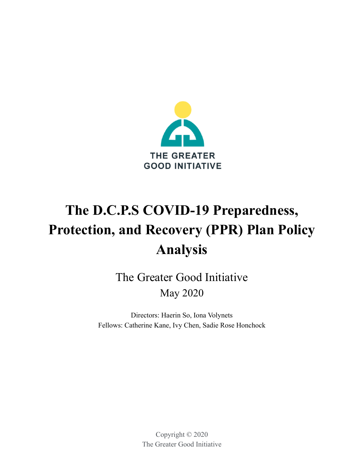

# **The D.C.P.S COVID-19 Preparedness, Protection, and Recovery (PPR) Plan Policy Analysis**

The Greater Good Initiative May 2020

Directors: Haerin So, Iona Volynets Fellows: Catherine Kane, Ivy Chen, Sadie Rose Honchock

> Copyright © 2020 The Greater Good Initiative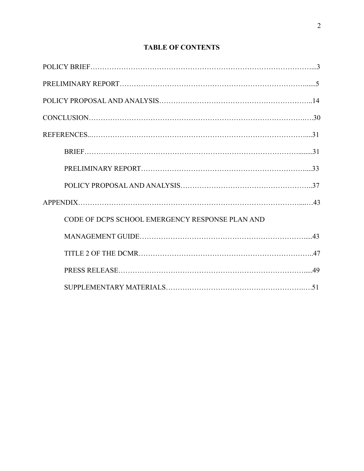| CODE OF DCPS SCHOOL EMERGENCY RESPONSE PLAN AND |  |
|-------------------------------------------------|--|
|                                                 |  |
|                                                 |  |
|                                                 |  |
|                                                 |  |

## **TABLE OF CONTENTS**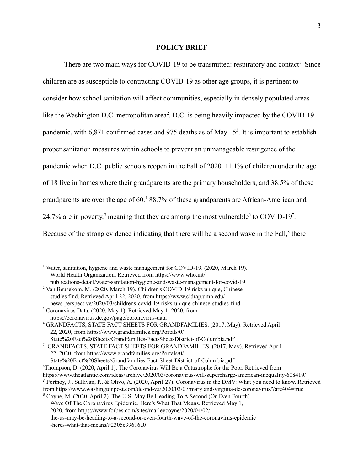#### **POLICY BRIEF**

There are two main ways for COVID-19 to be transmitted: respiratory and contact<sup>1</sup>. Since children are as susceptible to contracting COVID-19 as other age groups, it is pertinent to consider how school sanitation will affect communities, especially in densely populated areas like the Washington D.C. metropolitan area<sup>2</sup>. D.C. is being heavily impacted by the COVID-19 pandemic, with  $6.871$  confirmed cases and  $975$  deaths as of May  $15<sup>3</sup>$ . It is important to establish proper sanitation measures within schools to prevent an unmanageable resurgence of the pandemic when D.C. public schools reopen in the Fall of 2020. 11.1% of children under the age of 18 live in homes where their grandparents are the primary householders, and 38.5% of these grandparents are over the age of 60.<sup>4</sup> 88.7% of these grandparents are African-American and 24.7% are in poverty,<sup>5</sup> meaning that they are among the most vulnerable<sup>6</sup> to COVID-19<sup>7</sup>. Because of the strong evidence indicating that there will be a second wave in the Fall,<sup>8</sup> there

<sup>&</sup>lt;sup>1</sup> Water, sanitation, hygiene and waste management for COVID-19. (2020, March 19). World Health Organization. Retrieved from https://www.who.int/ publications-detail/water-sanitation-hygiene-and-waste-management-for-covid-19

<sup>2</sup> Van Beusekom, M. (2020, March 19). Children's COVID-19 risks unique, Chinese studies find. Retrieved April 22, 2020, from https://www.cidrap.umn.edu/ news-perspective/2020/03/childrens-covid-19-risks-unique-chinese-studies-find

<sup>3</sup> Coronavirus Data. (2020, May 1). Retrieved May 1, 2020, from https://coronavirus.dc.gov/page/coronavirus-data

<sup>4</sup> GRANDFACTS, STATE FACT SHEETS FOR GRANDFAMILIES. (2017, May). Retrieved April 22, 2020, from https://www.grandfamilies.org/Portals/0/ State%20Fact%20Sheets/Grandfamilies-Fact-Sheet-District-of-Columbia.pdf

<sup>5</sup> GRANDFACTS, STATE FACT SHEETS FOR GRANDFAMILIES. (2017, May). Retrieved April 22, 2020, from https://www.grandfamilies.org/Portals/0/

State%20Fact%20Sheets/Grandfamilies-Fact-Sheet-District-of-Columbia.pdf

<sup>6</sup>Thompson, D. (2020, April 1). The Coronavirus Will Be a Catastrophe for the Poor. Retrieved from

https://www.theatlantic.com/ideas/archive/2020/03/coronavirus-will-supercharge-american-inequality/608419/

<sup>7</sup> Portnoy, J., Sullivan, P., & Olivo, A. (2020, April 27). Coronavirus in the DMV: What you need to know. Retrieved from https://www.washingtonpost.com/dc-md-va/2020/03/07/maryland-virginia-dc-coronavirus/?arc404=true

<sup>8</sup> Coyne, M. (2020, April 2). The U.S. May Be Heading To A Second (Or Even Fourth) Wave Of The Coronavirus Epidemic. Here's What That Means. Retrieved May 1, 2020, from https://www.forbes.com/sites/marleycoyne/2020/04/02/ the-us-may-be-heading-to-a-second-or-even-fourth-wave-of-the-coronavirus-epidemic -heres-what-that-means/#2305e39616a0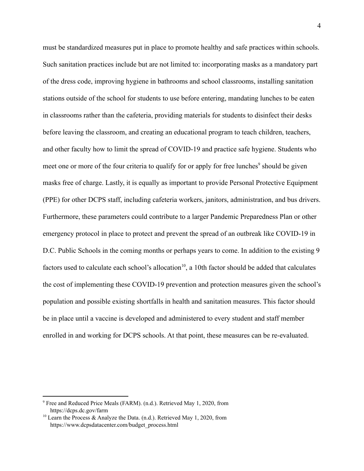must be standardized measures put in place to promote healthy and safe practices within schools. Such sanitation practices include but are not limited to: incorporating masks as a mandatory part of the dress code, improving hygiene in bathrooms and school classrooms, installing sanitation stations outside of the school for students to use before entering, mandating lunches to be eaten in classrooms rather than the cafeteria, providing materials for students to disinfect their desks before leaving the classroom, and creating an educational program to teach children, teachers, and other faculty how to limit the spread of COVID-19 and practice safe hygiene. Students who meet one or more of the four criteria to qualify for or apply for free lunches<sup>9</sup> should be given masks free of charge. Lastly, it is equally as important to provide Personal Protective Equipment (PPE) for other DCPS staff, including cafeteria workers, janitors, administration, and bus drivers. Furthermore, these parameters could contribute to a larger Pandemic Preparedness Plan or other emergency protocol in place to protect and prevent the spread of an outbreak like COVID-19 in D.C. Public Schools in the coming months or perhaps years to come. In addition to the existing 9 factors used to calculate each school's allocation $10$ , a 10th factor should be added that calculates the cost of implementing these COVID-19 prevention and protection measures given the school's population and possible existing shortfalls in health and sanitation measures. This factor should be in place until a vaccine is developed and administered to every student and staff member enrolled in and working for DCPS schools. At that point, these measures can be re-evaluated.

<sup>9</sup> Free and Reduced Price Meals (FARM). (n.d.). Retrieved May 1, 2020, from https://dcps.dc.gov/farm

<sup>&</sup>lt;sup>10</sup> Learn the Process & Analyze the Data. (n.d.). Retrieved May 1, 2020, from https://www.dcpsdatacenter.com/budget\_process.html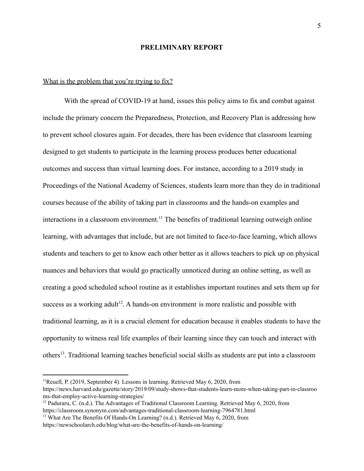#### **PRELIMINARY REPORT**

#### What is the problem that you're trying to fix?

With the spread of COVID-19 at hand, issues this policy aims to fix and combat against include the primary concern the Preparedness, Protection, and Recovery Plan is addressing how to prevent school closures again. For decades, there has been evidence that classroom learning designed to get students to participate in the learning process produces better educational outcomes and success than virtual learning does. For instance, according to a 2019 study in Proceedings of the National Academy of Sciences, students learn more than they do in traditional courses because of the ability of taking part in classrooms and the hands-on examples and interactions in a classroom environment.<sup>11</sup> The benefits of traditional learning outweigh online learning, with advantages that include, but are not limited to face-to-face learning, which allows students and teachers to get to know each other better as it allows teachers to pick up on physical nuances and behaviors that would go practically unnoticed during an online setting, as well as creating a good scheduled school routine as it establishes important routines and sets them up for success as a working adult<sup>12</sup>. A hands-on environment is more realistic and possible with traditional learning, as it is a crucial element for education because it enables students to have the opportunity to witness real life examples of their learning since they can touch and interact with others<sup>13</sup>. Traditional learning teaches beneficial social skills as students are put into a classroom

<sup>&</sup>lt;sup>11</sup>Reuell, P. (2019, September 4). Lessons in learning. Retrieved May 6, 2020, from https://news.harvard.edu/gazette/story/2019/09/study-shows-that-students-learn-more-when-taking-part-in-classroo ms-that-employ-active-learning-strategies/

 $12$  Paduraru, C. (n.d.). The Advantages of Traditional Classroom Learning. Retrieved May 6, 2020, from https://classroom.synonym.com/advantages-traditional-classroom-learning-7964781.html

<sup>&</sup>lt;sup>13</sup> What Are The Benefits Of Hands-On Learning? (n.d.). Retrieved May 6, 2020, from https://newschoolarch.edu/blog/what-are-the-benefits-of-hands-on-learning/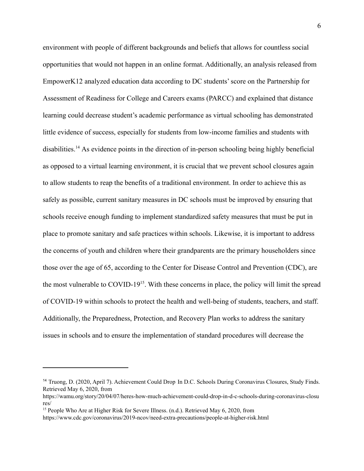environment with people of different backgrounds and beliefs that allows for countless social opportunities that would not happen in an online format. Additionally, an analysis released from EmpowerK12 analyzed education data according to DC students' score on the Partnership for Assessment of Readiness for College and Careers exams (PARCC) and explained that distance learning could decrease student's academic performance as virtual schooling has demonstrated little evidence of success, especially for students from low-income families and students with disabilities.<sup>14</sup> As evidence points in the direction of in-person schooling being highly beneficial as opposed to a virtual learning environment, it is crucial that we prevent school closures again to allow students to reap the benefits of a traditional environment. In order to achieve this as safely as possible, current sanitary measures in DC schools must be improved by ensuring that schools receive enough funding to implement standardized safety measures that must be put in place to promote sanitary and safe practices within schools. Likewise, it is important to address the concerns of youth and children where their grandparents are the primary householders since those over the age of 65, according to the Center for Disease Control and Prevention (CDC), are the most vulnerable to  $COVID-19<sup>15</sup>$ . With these concerns in place, the policy will limit the spread of COVID-19 within schools to protect the health and well-being of students, teachers, and staff. Additionally, the Preparedness, Protection, and Recovery Plan works to address the sanitary issues in schools and to ensure the implementation of standard procedures will decrease the

<sup>&</sup>lt;sup>14</sup> Truong, D. (2020, April 7). Achievement Could Drop In D.C. Schools During Coronavirus Closures, Study Finds. Retrieved May 6, 2020, from

https://wamu.org/story/20/04/07/heres-how-much-achievement-could-drop-in-d-c-schools-during-coronavirus-closu res/

<sup>&</sup>lt;sup>15</sup> People Who Are at Higher Risk for Severe Illness. (n.d.). Retrieved May 6, 2020, from

https://www.cdc.gov/coronavirus/2019-ncov/need-extra-precautions/people-at-higher-risk.html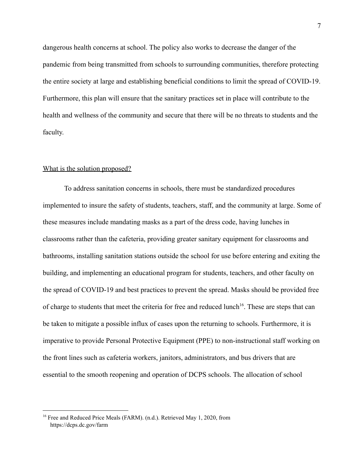dangerous health concerns at school. The policy also works to decrease the danger of the pandemic from being transmitted from schools to surrounding communities, therefore protecting the entire society at large and establishing beneficial conditions to limit the spread of COVID-19. Furthermore, this plan will ensure that the sanitary practices set in place will contribute to the health and wellness of the community and secure that there will be no threats to students and the faculty.

#### What is the solution proposed?

To address sanitation concerns in schools, there must be standardized procedures implemented to insure the safety of students, teachers, staff, and the community at large. Some of these measures include mandating masks as a part of the dress code, having lunches in classrooms rather than the cafeteria, providing greater sanitary equipment for classrooms and bathrooms, installing sanitation stations outside the school for use before entering and exiting the building, and implementing an educational program for students, teachers, and other faculty on the spread of COVID-19 and best practices to prevent the spread. Masks should be provided free of charge to students that meet the criteria for free and reduced lunch<sup>16</sup>. These are steps that can be taken to mitigate a possible influx of cases upon the returning to schools. Furthermore, it is imperative to provide Personal Protective Equipment (PPE) to non-instructional staff working on the front lines such as cafeteria workers, janitors, administrators, and bus drivers that are essential to the smooth reopening and operation of DCPS schools. The allocation of school

<sup>&</sup>lt;sup>16</sup> Free and Reduced Price Meals (FARM). (n.d.). Retrieved May 1, 2020, from https://dcps.dc.gov/farm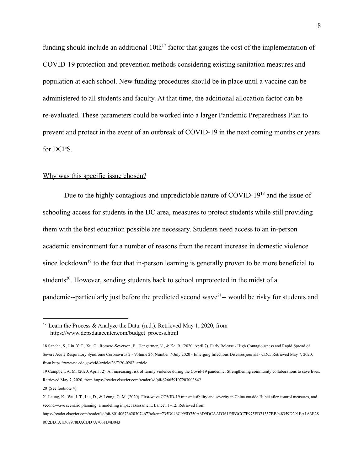funding should include an additional  $10th^{17}$  factor that gauges the cost of the implementation of COVID-19 protection and prevention methods considering existing sanitation measures and population at each school. New funding procedures should be in place until a vaccine can be administered to all students and faculty. At that time, the additional allocation factor can be re-evaluated. These parameters could be worked into a larger Pandemic Preparedness Plan to prevent and protect in the event of an outbreak of COVID-19 in the next coming months or years for DCPS.

#### Why was this specific issue chosen?

Due to the highly contagious and unpredictable nature of COVID-19 $^{18}$  and the issue of schooling access for students in the DC area, measures to protect students while still providing them with the best education possible are necessary. Students need access to an in-person academic environment for a number of reasons from the recent increase in domestic violence since lockdown<sup>19</sup> to the fact that in-person learning is generally proven to be more beneficial to students<sup>20</sup>. However, sending students back to school unprotected in the midst of a pandemic--particularly just before the predicted second wave<sup>21</sup>-- would be risky for students and

<sup>&</sup>lt;sup>17</sup> Learn the Process & Analyze the Data. (n.d.). Retrieved May 1, 2020, from https://www.dcpsdatacenter.com/budget\_process.html

<sup>18</sup> Sanche, S., Lin, Y. T., Xu, C., Romero-Severson, E., Hengartner, N., & Ke, R. (2020, April 7). Early Release - High Contagiousness and Rapid Spread of Severe Acute Respiratory Syndrome Coronavirus 2 - Volume 26, Number 7-July 2020 - Emerging Infectious Diseases journal - CDC. Retrieved May 7, 2020, from https://wwwnc.cdc.gov/eid/article/26/7/20-0282\_article

<sup>19</sup> Campbell, A. M. (2020, April 12). An increasing risk of family violence during the Covid-19 pandemic: Strengthening community collaborations to save lives. Retrieved May 7, 2020, from https://reader.elsevier.com/reader/sd/pii/S2665910720300384?

<sup>20</sup> {See footnote 4}

<sup>21</sup> Leung, K., Wu, J. T., Liu, D., & Leung, G. M. (2020). First-wave COVID-19 transmissibility and severity in China outside Hubei after control measures, and second-wave scenario planning: a modelling impact assessment. Lancet, 1–12. Retrieved from

https://reader.elsevier.com/reader/sd/pii/S0140673620307467?token=735D046C995D750A6D9DCAAD361F5B3CC7F975FD71357BB948359D291EA1A3E28 8C2BD1A1D67978DACBD7A706FB4B043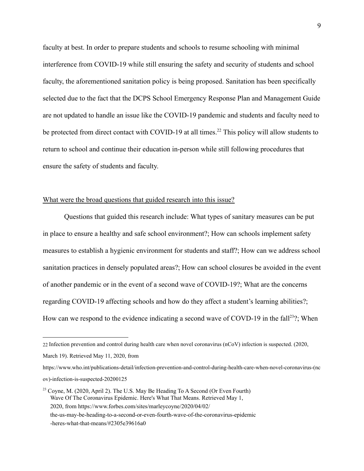faculty at best. In order to prepare students and schools to resume schooling with minimal interference from COVID-19 while still ensuring the safety and security of students and school faculty, the aforementioned sanitation policy is being proposed. Sanitation has been specifically selected due to the fact that the DCPS School Emergency Response Plan and Management Guide are not updated to handle an issue like the COVID-19 pandemic and students and faculty need to be protected from direct contact with COVID-19 at all times.<sup>22</sup> This policy will allow students to return to school and continue their education in-person while still following procedures that ensure the safety of students and faculty.

#### What were the broad questions that guided research into this issue?

Questions that guided this research include: What types of sanitary measures can be put in place to ensure a healthy and safe school environment?; How can schools implement safety measures to establish a hygienic environment for students and staff?; How can we address school sanitation practices in densely populated areas?; How can school closures be avoided in the event of another pandemic or in the event of a second wave of COVID-19?; What are the concerns regarding COVID-19 affecting schools and how do they affect a student's learning abilities?; How can we respond to the evidence indicating a second wave of COVD-19 in the fall<sup>23</sup>?; When

https://www.who.int/publications-detail/infection-prevention-and-control-during-health-care-when-novel-coronavirus-(nc ov)-infection-is-suspected-20200125

<sup>22</sup> Infection prevention and control during health care when novel coronavirus (nCoV) infection is suspected. (2020,

March 19). Retrieved May 11, 2020, from

<sup>&</sup>lt;sup>23</sup> Coyne, M. (2020, April 2). The U.S. May Be Heading To A Second (Or Even Fourth) Wave Of The Coronavirus Epidemic. Here's What That Means. Retrieved May 1, 2020, from https://www.forbes.com/sites/marleycoyne/2020/04/02/ the-us-may-be-heading-to-a-second-or-even-fourth-wave-of-the-coronavirus-epidemic -heres-what-that-means/#2305e39616a0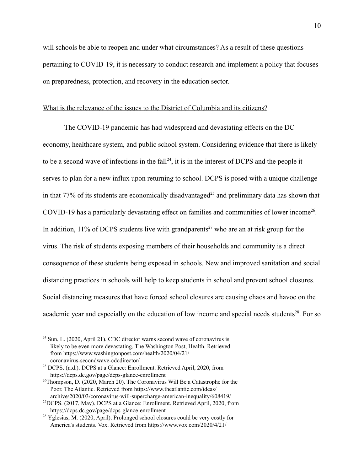will schools be able to reopen and under what circumstances? As a result of these questions pertaining to COVID-19, it is necessary to conduct research and implement a policy that focuses on preparedness, protection, and recovery in the education sector.

#### What is the relevance of the issues to the District of Columbia and its citizens?

The COVID-19 pandemic has had widespread and devastating effects on the DC economy, healthcare system, and public school system. Considering evidence that there is likely to be a second wave of infections in the fall<sup>24</sup>, it is in the interest of DCPS and the people it serves to plan for a new influx upon returning to school. DCPS is posed with a unique challenge in that 77% of its students are economically disadvantaged<sup>25</sup> and preliminary data has shown that COVID-19 has a particularly devastating effect on families and communities of lower income<sup>26</sup>. In addition, 11% of DCPS students live with grandparents<sup>27</sup> who are an at risk group for the virus. The risk of students exposing members of their households and community is a direct consequence of these students being exposed in schools. New and improved sanitation and social distancing practices in schools will help to keep students in school and prevent school closures. Social distancing measures that have forced school closures are causing chaos and havoc on the academic year and especially on the education of low income and special needs students<sup>28</sup>. For so

 $24$  Sun, L. (2020, April 21). CDC director warns second wave of coronavirus is likely to be even more devastating. The Washington Post, Health. Retrieved from https://www.washingtonpost.com/health/2020/04/21/ coronavirus-secondwave-cdcdirector/

<sup>&</sup>lt;sup>25</sup> DCPS. (n.d.). DCPS at a Glance: Enrollment. Retrieved April, 2020, from https://dcps.dc.gov/page/dcps-glance-enrollment

 $26$ Thompson, D. (2020, March 20). The Coronavirus Will Be a Catastrophe for the Poor. The Atlantic. Retrieved from https://www.theatlantic.com/ideas/ archive/2020/03/coronavirus-will-supercharge-american-inequality/608419/

 $27$ DCPS. (2017, May). DCPS at a Glance: Enrollment. Retrieved April, 2020, from https://dcps.dc.gov/page/dcps-glance-enrollment

 $28$  Yglesias, M. (2020, April). Prolonged school closures could be very costly for America's students. Vox. Retrieved from https://www.vox.com/2020/4/21/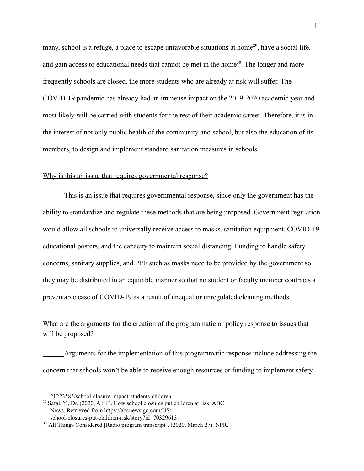many, school is a refuge, a place to escape unfavorable situations at home<sup>29</sup>, have a social life, and gain access to educational needs that cannot be met in the home<sup>30</sup>. The longer and more frequently schools are closed, the more students who are already at risk will suffer. The COVID-19 pandemic has already had an immense impact on the 2019-2020 academic year and most likely will be carried with students for the rest of their academic career. Therefore, it is in the interest of not only public health of the community and school, but also the education of its members, to design and implement standard sanitation measures in schools.

#### Why is this an issue that requires governmental response?

This is an issue that requires governmental response, since only the government has the ability to standardize and regulate these methods that are being proposed. Government regulation would allow all schools to universally receive access to masks, sanitation equipment, COVID-19 educational posters, and the capacity to maintain social distancing. Funding to handle safety concerns, sanitary supplies, and PPE such as masks need to be provided by the government so they may be distributed in an equitable manner so that no student or faculty member contracts a preventable case of COVID-19 as a result of unequal or unregulated cleaning methods.

## What are the arguments for the creation of the programmatic or policy response to issues that will be proposed?

Arguments for the implementation of this programmatic response include addressing the concern that schools won't be able to receive enough resources or funding to implement safety

<sup>21223585/</sup>school-closure-impact-students-children

 $^{29}$  Safai, Y., Dr. (2020, April). How school closures put children at risk. ABC News. Retrieved from https://abcnews.go.com/US/ school-closures-put-children-risk/story?id=70329613

<sup>30</sup> All Things Considered [Radio program transcript]. (2020, March 27). NPR.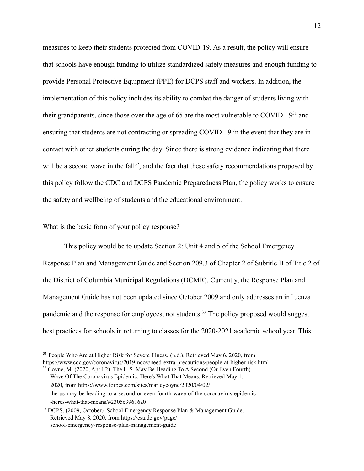measures to keep their students protected from COVID-19. As a result, the policy will ensure that schools have enough funding to utilize standardized safety measures and enough funding to provide Personal Protective Equipment (PPE) for DCPS staff and workers. In addition, the implementation of this policy includes its ability to combat the danger of students living with their grandparents, since those over the age of 65 are the most vulnerable to COVID-19 $31$  and ensuring that students are not contracting or spreading COVID-19 in the event that they are in contact with other students during the day. Since there is strong evidence indicating that there will be a second wave in the fall<sup>32</sup>, and the fact that these safety recommendations proposed by this policy follow the CDC and DCPS Pandemic Preparedness Plan, the policy works to ensure the safety and wellbeing of students and the educational environment.

#### What is the basic form of your policy response?

This policy would be to update Section 2: Unit 4 and 5 of the School Emergency Response Plan and Management Guide and Section 209.3 of Chapter 2 of Subtitle B of Title 2 of the District of Columbia Municipal Regulations (DCMR). Currently, the Response Plan and Management Guide has not been updated since October 2009 and only addresses an influenza pandemic and the response for employees, not students.<sup>33</sup> The policy proposed would suggest best practices for schools in returning to classes for the 2020-2021 academic school year. This

Wave Of The Coronavirus Epidemic. Here's What That Means. Retrieved May 1, 2020, from https://www.forbes.com/sites/marleycoyne/2020/04/02/ the-us-may-be-heading-to-a-second-or-even-fourth-wave-of-the-coronavirus-epidemic -heres-what-that-means/#2305e39616a0

<sup>&</sup>lt;sup>32</sup> Coyne, M. (2020, April 2). The U.S. May Be Heading To A Second (Or Even Fourth) **<sup>31</sup>** People Who Are at Higher Risk for Severe Illness. (n.d.). Retrieved May 6, 2020, from https://www.cdc.gov/coronavirus/2019-ncov/need-extra-precautions/people-at-higher-risk.html

<sup>&</sup>lt;sup>33</sup> DCPS. (2009, October). School Emergency Response Plan & Management Guide. Retrieved May 8, 2020, from https://esa.dc.gov/page/ school-emergency-response-plan-management-guide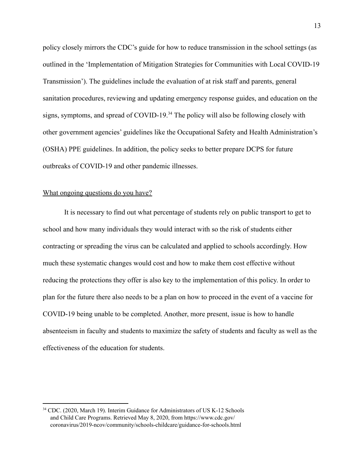policy closely mirrors the CDC's guide for how to reduce transmission in the school settings (as outlined in the 'Implementation of Mitigation Strategies for Communities with Local COVID-19 Transmission'). The guidelines include the evaluation of at risk staff and parents, general sanitation procedures, reviewing and updating emergency response guides, and education on the signs, symptoms, and spread of COVID-19. $34$  The policy will also be following closely with other government agencies' guidelines like the Occupational Safety and Health Administration's (OSHA) PPE guidelines. In addition, the policy seeks to better prepare DCPS for future outbreaks of COVID-19 and other pandemic illnesses.

#### What ongoing questions do you have?

It is necessary to find out what percentage of students rely on public transport to get to school and how many individuals they would interact with so the risk of students either contracting or spreading the virus can be calculated and applied to schools accordingly. How much these systematic changes would cost and how to make them cost effective without reducing the protections they offer is also key to the implementation of this policy. In order to plan for the future there also needs to be a plan on how to proceed in the event of a vaccine for COVID-19 being unable to be completed. Another, more present, issue is how to handle absenteeism in faculty and students to maximize the safety of students and faculty as well as the effectiveness of the education for students.

<sup>&</sup>lt;sup>34</sup> CDC. (2020, March 19). Interim Guidance for Administrators of US K-12 Schools and Child Care Programs. Retrieved May 8, 2020, from https://www.cdc.gov/ coronavirus/2019-ncov/community/schools-childcare/guidance-for-schools.html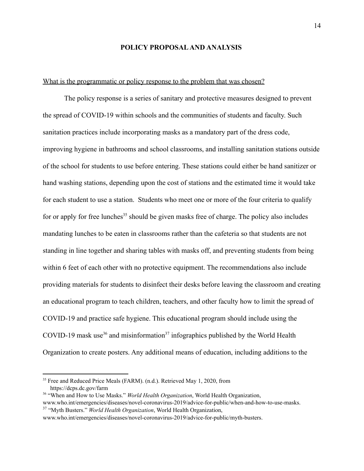#### **POLICY PROPOSAL AND ANALYSIS**

#### What is the programmatic or policy response to the problem that was chosen?

The policy response is a series of sanitary and protective measures designed to prevent the spread of COVID-19 within schools and the communities of students and faculty. Such sanitation practices include incorporating masks as a mandatory part of the dress code, improving hygiene in bathrooms and school classrooms, and installing sanitation stations outside of the school for students to use before entering. These stations could either be hand sanitizer or hand washing stations, depending upon the cost of stations and the estimated time it would take for each student to use a station. Students who meet one or more of the four criteria to qualify for or apply for free lunches<sup>35</sup> should be given masks free of charge. The policy also includes mandating lunches to be eaten in classrooms rather than the cafeteria so that students are not standing in line together and sharing tables with masks off, and preventing students from being within 6 feet of each other with no protective equipment. The recommendations also include providing materials for students to disinfect their desks before leaving the classroom and creating an educational program to teach children, teachers, and other faculty how to limit the spread of COVID-19 and practice safe hygiene. This educational program should include using the COVID-19 mask use<sup>36</sup> and misinformation<sup>37</sup> infographics published by the World Health Organization to create posters. Any additional means of education, including additions to the

<sup>&</sup>lt;sup>35</sup> Free and Reduced Price Meals (FARM). (n.d.). Retrieved May 1, 2020, from https://dcps.dc.gov/farm

<sup>37</sup> "Myth Busters." *World Health Organization*, World Health Organization, <sup>36</sup> "When and How to Use Masks." *World Health Organization*, World Health Organization, www.who.int/emergencies/diseases/novel-coronavirus-2019/advice-for-public/when-and-how-to-use-masks.

www.who.int/emergencies/diseases/novel-coronavirus-2019/advice-for-public/myth-busters.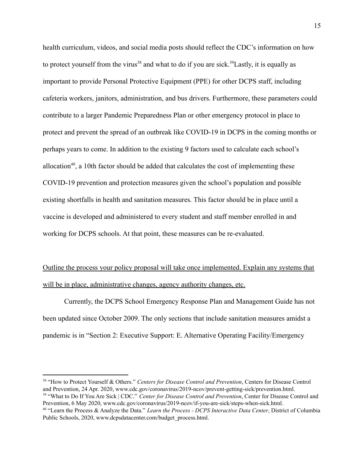health curriculum, videos, and social media posts should reflect the CDC's information on how to protect yourself from the virus<sup>38</sup> and what to do if you are sick.<sup>39</sup> Lastly, it is equally as important to provide Personal Protective Equipment (PPE) for other DCPS staff, including cafeteria workers, janitors, administration, and bus drivers. Furthermore, these parameters could contribute to a larger Pandemic Preparedness Plan or other emergency protocol in place to protect and prevent the spread of an outbreak like COVID-19 in DCPS in the coming months or perhaps years to come. In addition to the existing 9 factors used to calculate each school's allocation<sup>40</sup>, a 10th factor should be added that calculates the cost of implementing these COVID-19 prevention and protection measures given the school's population and possible existing shortfalls in health and sanitation measures. This factor should be in place until a vaccine is developed and administered to every student and staff member enrolled in and working for DCPS schools. At that point, these measures can be re-evaluated.

# Outline the process your policy proposal will take once implemented. Explain any systems that will be in place, administrative changes, agency authority changes, etc.

Currently, the DCPS School Emergency Response Plan and Management Guide has not been updated since October 2009. The only sections that include sanitation measures amidst a pandemic is in "Section 2: Executive Support: E. Alternative Operating Facility/Emergency

<sup>38</sup> "How to Protect Yourself & Others." *Centers for Disease Control and Prevention*, Centers for Disease Control and Prevention, 24 Apr. 2020, www.cdc.gov/coronavirus/2019-ncov/prevent-getting-sick/prevention.html.

<sup>39</sup> "What to Do If You Are Sick | CDC." *Center for Disease Control and Prevention*, Center for Disease Control and Prevention, 6 May 2020, www.cdc.gov/coronavirus/2019-ncov/if-you-are-sick/steps-when-sick.html.

<sup>40</sup> "Learn the Process & Analyze the Data." *Learn the Process - DCPS Interactive Data Center*, District of Columbia Public Schools, 2020, www.dcpsdatacenter.com/budget\_process.html.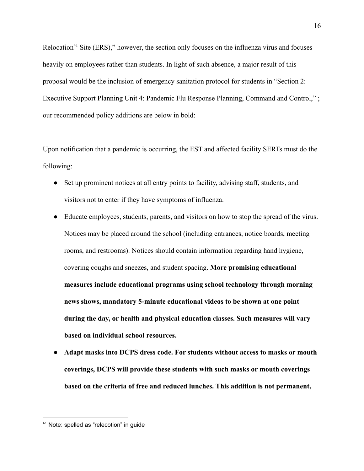Relocation<sup>41</sup> Site (ERS)," however, the section only focuses on the influenza virus and focuses heavily on employees rather than students. In light of such absence, a major result of this proposal would be the inclusion of emergency sanitation protocol for students in "Section 2: Executive Support Planning Unit 4: Pandemic Flu Response Planning, Command and Control," ; our recommended policy additions are below in bold:

Upon notification that a pandemic is occurring, the EST and affected facility SERTs must do the following:

- Set up prominent notices at all entry points to facility, advising staff, students, and visitors not to enter if they have symptoms of influenza.
- Educate employees, students, parents, and visitors on how to stop the spread of the virus. Notices may be placed around the school (including entrances, notice boards, meeting rooms, and restrooms). Notices should contain information regarding hand hygiene, covering coughs and sneezes, and student spacing. **More promising educational measures include educational programs using school technology through morning news shows, mandatory 5-minute educational videos to be shown at one point during the day, or health and physical education classes. Such measures will vary based on individual school resources.**
- **● Adapt masks into DCPS dress code. For students without access to masks or mouth coverings, DCPS will provide these students with such masks or mouth coverings based on the criteria of free and reduced lunches. This addition is not permanent,**

<sup>41</sup> Note: spelled as "relecotion" in guide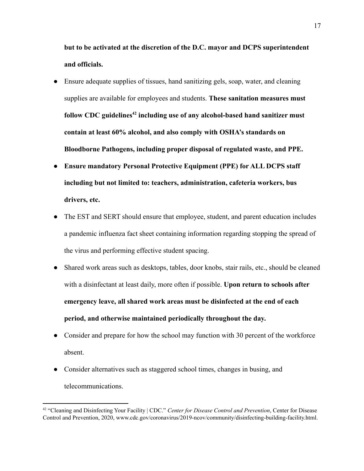**but to be activated at the discretion of the D.C. mayor and DCPS superintendent and officials.**

- Ensure adequate supplies of tissues, hand sanitizing gels, soap, water, and cleaning supplies are available for employees and students. **These sanitation measures must follow CDC guidelines including use of any alcohol-based hand sanitizer must <sup>42</sup> contain at least 60% alcohol, and also comply with OSHA's standards on Bloodborne Pathogens, including proper disposal of regulated waste, and PPE.**
- **● Ensure mandatory Personal Protective Equipment (PPE) for ALL DCPS staff including but not limited to: teachers, administration, cafeteria workers, bus drivers, etc.**
- The EST and SERT should ensure that employee, student, and parent education includes a pandemic influenza fact sheet containing information regarding stopping the spread of the virus and performing effective student spacing.
- Shared work areas such as desktops, tables, door knobs, stair rails, etc., should be cleaned with a disinfectant at least daily, more often if possible. **Upon return to schools after emergency leave, all shared work areas must be disinfected at the end of each period, and otherwise maintained periodically throughout the day.**
- Consider and prepare for how the school may function with 30 percent of the workforce absent.
- Consider alternatives such as staggered school times, changes in busing, and telecommunications.

<sup>42</sup> "Cleaning and Disinfecting Your Facility | CDC." *Center for Disease Control and Prevention*, Center for Disease Control and Prevention, 2020, www.cdc.gov/coronavirus/2019-ncov/community/disinfecting-building-facility.html.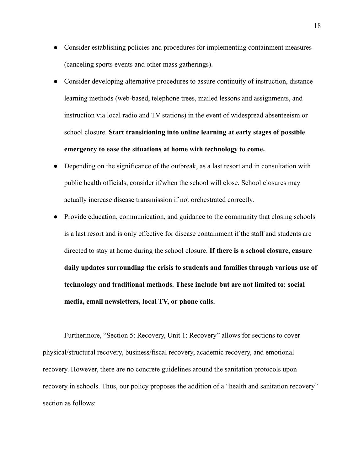- Consider establishing policies and procedures for implementing containment measures (canceling sports events and other mass gatherings).
- Consider developing alternative procedures to assure continuity of instruction, distance learning methods (web-based, telephone trees, mailed lessons and assignments, and instruction via local radio and TV stations) in the event of widespread absenteeism or school closure. **Start transitioning into online learning at early stages of possible emergency to ease the situations at home with technology to come.**
- Depending on the significance of the outbreak, as a last resort and in consultation with public health officials, consider if/when the school will close. School closures may actually increase disease transmission if not orchestrated correctly.
- Provide education, communication, and guidance to the community that closing schools is a last resort and is only effective for disease containment if the staff and students are directed to stay at home during the school closure. **If there is a school closure, ensure daily updates surrounding the crisis to students and families through various use of technology and traditional methods. These include but are not limited to: social media, email newsletters, local TV, or phone calls.**

Furthermore, "Section 5: Recovery, Unit 1: Recovery" allows for sections to cover physical/structural recovery, business/fiscal recovery, academic recovery, and emotional recovery. However, there are no concrete guidelines around the sanitation protocols upon recovery in schools. Thus, our policy proposes the addition of a "health and sanitation recovery" section as follows: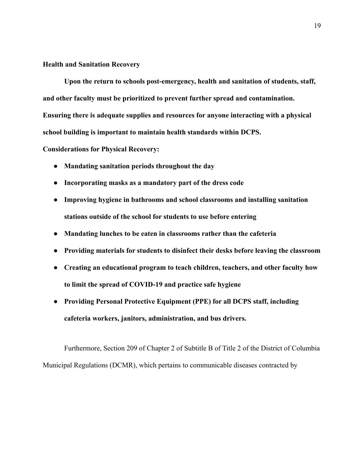#### **Health and Sanitation Recovery**

**Upon the return to schools post-emergency, health and sanitation of students, staff, and other faculty must be prioritized to prevent further spread and contamination. Ensuring there is adequate supplies and resources for anyone interacting with a physical school building is important to maintain health standards within DCPS.**

**Considerations for Physical Recovery:**

- **● Mandating sanitation periods throughout the day**
- **● Incorporating masks as a mandatory part of the dress code**
- **● Improving hygiene in bathrooms and school classrooms and installing sanitation stations outside of the school for students to use before entering**
- **● Mandating lunches to be eaten in classrooms rather than the cafeteria**
- **● Providing materials for students to disinfect their desks before leaving the classroom**
- **● Creating an educational program to teach children, teachers, and other faculty how to limit the spread of COVID-19 and practice safe hygiene**
- **● Providing Personal Protective Equipment (PPE) for all DCPS staff, including cafeteria workers, janitors, administration, and bus drivers.**

Furthermore, Section 209 of Chapter 2 of Subtitle B of Title 2 of the District of Columbia Municipal Regulations (DCMR), which pertains to communicable diseases contracted by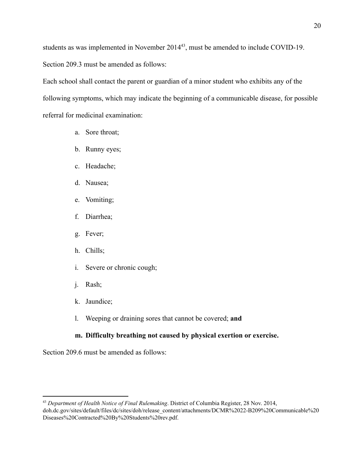students as was implemented in November  $2014<sup>43</sup>$ , must be amended to include COVID-19. Section 209.3 must be amended as follows:

Each school shall contact the parent or guardian of a minor student who exhibits any of the following symptoms, which may indicate the beginning of a communicable disease, for possible referral for medicinal examination:

- a. Sore throat;
- b. Runny eyes;
- c. Headache;
- d. Nausea;
- e. Vomiting;
- f. Diarrhea;
- g. Fever;
- h. Chills;
- i. Severe or chronic cough;
- j. Rash;
- k. Jaundice;
- l. Weeping or draining sores that cannot be covered; **and**

## **m. Difficulty breathing not caused by physical exertion or exercise.**

Section 209.6 must be amended as follows:

<sup>43</sup> *Department of Health Notice of Final Rulemaking*. District of Columbia Register, 28 Nov. 2014, doh.dc.gov/sites/default/files/dc/sites/doh/release\_content/attachments/DCMR%2022-B209%20Communicable%20 Diseases%20Contracted%20By%20Students%20rev.pdf.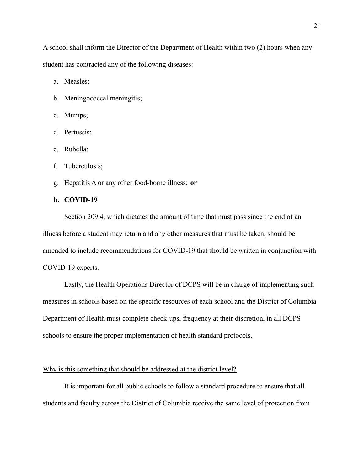A school shall inform the Director of the Department of Health within two (2) hours when any student has contracted any of the following diseases:

a. Measles;

- b. Meningococcal meningitis;
- c. Mumps;
- d. Pertussis;
- e. Rubella;
- f. Tuberculosis;
- g. Hepatitis A or any other food-borne illness; **or**
- **h. COVID-19**

Section 209.4, which dictates the amount of time that must pass since the end of an illness before a student may return and any other measures that must be taken, should be amended to include recommendations for COVID-19 that should be written in conjunction with COVID-19 experts.

Lastly, the Health Operations Director of DCPS will be in charge of implementing such measures in schools based on the specific resources of each school and the District of Columbia Department of Health must complete check-ups, frequency at their discretion, in all DCPS schools to ensure the proper implementation of health standard protocols.

#### Why is this something that should be addressed at the district level?

It is important for all public schools to follow a standard procedure to ensure that all students and faculty across the District of Columbia receive the same level of protection from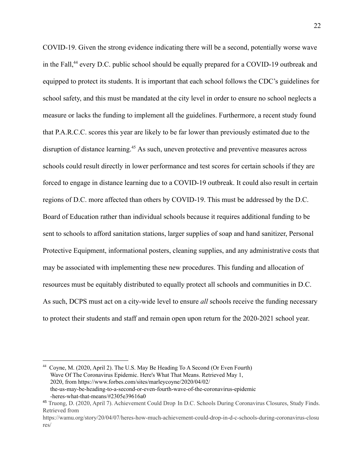COVID-19. Given the strong evidence indicating there will be a second, potentially worse wave in the Fall,  $44$  every D.C. public school should be equally prepared for a COVID-19 outbreak and equipped to protect its students. It is important that each school follows the CDC's guidelines for school safety, and this must be mandated at the city level in order to ensure no school neglects a measure or lacks the funding to implement all the guidelines. Furthermore, a recent study found that P.A.R.C.C. scores this year are likely to be far lower than previously estimated due to the disruption of distance learning.<sup> $45$ </sup> As such, uneven protective and preventive measures across schools could result directly in lower performance and test scores for certain schools if they are forced to engage in distance learning due to a COVID-19 outbreak. It could also result in certain regions of D.C. more affected than others by COVID-19. This must be addressed by the D.C. Board of Education rather than individual schools because it requires additional funding to be sent to schools to afford sanitation stations, larger supplies of soap and hand sanitizer, Personal Protective Equipment, informational posters, cleaning supplies, and any administrative costs that may be associated with implementing these new procedures. This funding and allocation of resources must be equitably distributed to equally protect all schools and communities in D.C. As such, DCPS must act on a city-wide level to ensure *all* schools receive the funding necessary to protect their students and staff and remain open upon return for the 2020-2021 school year.

<sup>44</sup> Coyne, M. (2020, April 2). The U.S. May Be Heading To A Second (Or Even Fourth) Wave Of The Coronavirus Epidemic. Here's What That Means. Retrieved May 1, 2020, from https://www.forbes.com/sites/marleycoyne/2020/04/02/ the-us-may-be-heading-to-a-second-or-even-fourth-wave-of-the-coronavirus-epidemic -heres-what-that-means/#2305e39616a0

<sup>45</sup> Truong, D. (2020, April 7). Achievement Could Drop In D.C. Schools During Coronavirus Closures, Study Finds. Retrieved from

https://wamu.org/story/20/04/07/heres-how-much-achievement-could-drop-in-d-c-schools-during-coronavirus-closu res/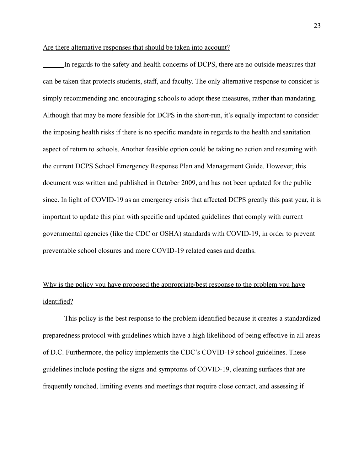#### Are there alternative responses that should be taken into account?

In regards to the safety and health concerns of DCPS, there are no outside measures that can be taken that protects students, staff, and faculty. The only alternative response to consider is simply recommending and encouraging schools to adopt these measures, rather than mandating. Although that may be more feasible for DCPS in the short-run, it's equally important to consider the imposing health risks if there is no specific mandate in regards to the health and sanitation aspect of return to schools. Another feasible option could be taking no action and resuming with the current DCPS School Emergency Response Plan and Management Guide. However, this document was written and published in October 2009, and has not been updated for the public since. In light of COVID-19 as an emergency crisis that affected DCPS greatly this past year, it is important to update this plan with specific and updated guidelines that comply with current governmental agencies (like the CDC or OSHA) standards with COVID-19, in order to prevent preventable school closures and more COVID-19 related cases and deaths.

# Why is the policy you have proposed the appropriate/best response to the problem you have identified?

This policy is the best response to the problem identified because it creates a standardized preparedness protocol with guidelines which have a high likelihood of being effective in all areas of D.C. Furthermore, the policy implements the CDC's COVID-19 school guidelines. These guidelines include posting the signs and symptoms of COVID-19, cleaning surfaces that are frequently touched, limiting events and meetings that require close contact, and assessing if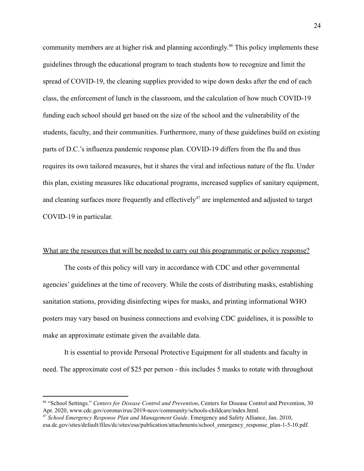community members are at higher risk and planning accordingly.<sup>46</sup> This policy implements these guidelines through the educational program to teach students how to recognize and limit the spread of COVID-19, the cleaning supplies provided to wipe down desks after the end of each class, the enforcement of lunch in the classroom, and the calculation of how much COVID-19 funding each school should get based on the size of the school and the vulnerability of the students, faculty, and their communities. Furthermore, many of these guidelines build on existing parts of D.C.'s influenza pandemic response plan. COVID-19 differs from the flu and thus requires its own tailored measures, but it shares the viral and infectious nature of the flu. Under this plan, existing measures like educational programs, increased supplies of sanitary equipment, and cleaning surfaces more frequently and effectively<sup>47</sup> are implemented and adjusted to target COVID-19 in particular.

#### What are the resources that will be needed to carry out this programmatic or policy response?

The costs of this policy will vary in accordance with CDC and other governmental agencies' guidelines at the time of recovery. While the costs of distributing masks, establishing sanitation stations, providing disinfecting wipes for masks, and printing informational WHO posters may vary based on business connections and evolving CDC guidelines, it is possible to make an approximate estimate given the available data.

It is essential to provide Personal Protective Equipment for all students and faculty in need. The approximate cost of \$25 per person - this includes 5 masks to rotate with throughout

<sup>46</sup> "School Settings." *Centers for Disease Control and Prevention*, Centers for Disease Control and Prevention, 30 Apr. 2020, www.cdc.gov/coronavirus/2019-ncov/community/schools-childcare/index.html.

<sup>47</sup> *School Emergency Response Plan and Management Guide*. Emergency and Safety Alliance, Jan. 2010, esa.dc.gov/sites/default/files/dc/sites/esa/publication/attachments/school\_emergency\_response\_plan-1-5-10.pdf.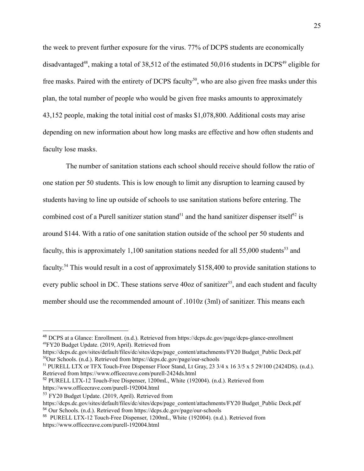the week to prevent further exposure for the virus. 77% of DCPS students are economically disadvantaged<sup>48</sup>, making a total of 38,512 of the estimated 50,016 students in DCPS<sup>49</sup> eligible for free masks. Paired with the entirety of DCPS faculty<sup>50</sup>, who are also given free masks under this plan, the total number of people who would be given free masks amounts to approximately 43,152 people, making the total initial cost of masks \$1,078,800. Additional costs may arise depending on new information about how long masks are effective and how often students and faculty lose masks.

The number of sanitation stations each school should receive should follow the ratio of one station per 50 students. This is low enough to limit any disruption to learning caused by students having to line up outside of schools to use sanitation stations before entering. The combined cost of a Purell sanitizer station stand<sup>51</sup> and the hand sanitizer dispenser itself<sup>52</sup> is around \$144. With a ratio of one sanitation station outside of the school per 50 students and faculty, this is approximately 1,100 sanitation stations needed for all  $55,000$  students<sup>53</sup> and faculty.<sup>54</sup> This would result in a cost of approximately \$158,400 to provide sanitation stations to every public school in DC. These stations serve  $40\sigma z$  of sanitizer<sup>55</sup>, and each student and faculty member should use the recommended amount of .1010z (3ml) of sanitizer. This means each

<sup>51</sup> PURELL LTX or TFX Touch-Free Dispenser Floor Stand, Lt Gray, 23 3/4 x 16 3/5 x 5 29/100 (2424DS). (n.d.). Retrieved from https://www.officecrave.com/purell-2424ds.html

<sup>52</sup> PURELL LTX-12 Touch-Free Dispenser, 1200mL, White (192004). (n.d.). Retrieved from https://www.officecrave.com/purell-192004.html

<sup>53</sup> FY20 Budget Update. (2019, April). Retrieved from

<sup>49</sup>FY20 Budget Update. (2019, April). Retrieved from <sup>48</sup> DCPS at a Glance: Enrollment. (n.d.). Retrieved from https://dcps.dc.gov/page/dcps-glance-enrollment

<sup>50</sup>Our Schools. (n.d.). Retrieved from https://dcps.dc.gov/page/our-schools https://dcps.dc.gov/sites/default/files/dc/sites/dcps/page\_content/attachments/FY20 Budget\_Public Deck.pdf

<sup>54</sup> Our Schools. (n.d.). Retrieved from https://dcps.dc.gov/page/our-schools https://dcps.dc.gov/sites/default/files/dc/sites/dcps/page\_content/attachments/FY20 Budget\_Public Deck.pdf

<sup>55</sup> PURELL LTX-12 Touch-Free Dispenser, 1200mL, White (192004). (n.d.). Retrieved from https://www.officecrave.com/purell-192004.html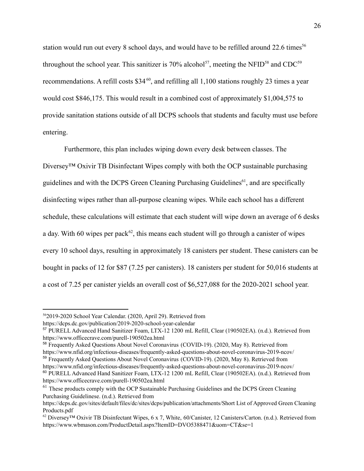station would run out every 8 school days, and would have to be refilled around 22.6 times<sup>56</sup> throughout the school year. This sanitizer is 70% alcohol<sup>57</sup>, meeting the NFID<sup>58</sup> and CDC<sup>59</sup> recommendations. A refill costs  $$34^{60}$ , and refilling all 1,100 stations roughly 23 times a year would cost \$846,175. This would result in a combined cost of approximately \$1,004,575 to provide sanitation stations outside of all DCPS schools that students and faculty must use before entering.

Furthermore, this plan includes wiping down every desk between classes. The Diversey™ Oxivir TB Disinfectant Wipes comply with both the OCP sustainable purchasing guidelines and with the DCPS Green Cleaning Purchasing Guidelines<sup>61</sup>, and are specifically disinfecting wipes rather than all-purpose cleaning wipes. While each school has a different schedule, these calculations will estimate that each student will wipe down an average of 6 desks a day. With 60 wipes per pack<sup> $62$ </sup>, this means each student will go through a canister of wipes every 10 school days, resulting in approximately 18 canisters per student. These canisters can be bought in packs of 12 for \$87 (7.25 per canisters). 18 canisters per student for 50,016 students at a cost of 7.25 per canister yields an overall cost of \$6,527,088 for the 2020-2021 school year.

<sup>56</sup>2019-2020 School Year Calendar. (2020, April 29). Retrieved from

https://dcps.dc.gov/publication/2019-2020-school-year-calendar

<sup>57</sup> PURELL Advanced Hand Sanitizer Foam, LTX-12 1200 mL Refill, Clear (190502EA). (n.d.). Retrieved from https://www.officecrave.com/purell-190502ea.html

<sup>58</sup> Frequently Asked Questions About Novel Coronavirus (COVID-19). (2020, May 8). Retrieved from

https://www.nfid.org/infectious-diseases/frequently-asked-questions-about-novel-coronavirus-2019-ncov/

<sup>60</sup> PURELL Advanced Hand Sanitizer Foam, LTX-12 1200 mL Refill, Clear (190502EA). (n.d.). Retrieved from <sup>59</sup> Frequently Asked Questions About Novel Coronavirus (COVID-19). (2020, May 8). Retrieved from https://www.nfid.org/infectious-diseases/frequently-asked-questions-about-novel-coronavirus-2019-ncov/

https://www.officecrave.com/purell-190502ea.html

<sup>&</sup>lt;sup>61</sup> These products comply with the OCP Sustainable Purchasing Guidelines and the DCPS Green Cleaning Purchasing Guidelinese. (n.d.). Retrieved from

https://dcps.dc.gov/sites/default/files/dc/sites/dcps/publication/attachments/Short List of Approved Green Cleaning Products.pdf

<sup>&</sup>lt;sup>62</sup> Diversey™ Oxivir TB Disinfectant Wipes, 6 x 7, White, 60/Canister, 12 Canisters/Carton. (n.d.). Retrieved from https://www.wbmason.com/ProductDetail.aspx?ItemID=DVO5388471&uom=CT&se=1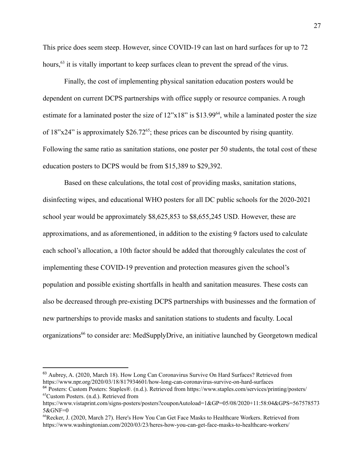This price does seem steep. However, since COVID-19 can last on hard surfaces for up to 72 hours, <sup>63</sup> it is vitally important to keep surfaces clean to prevent the spread of the virus.

Finally, the cost of implementing physical sanitation education posters would be dependent on current DCPS partnerships with office supply or resource companies. A rough estimate for a laminated poster the size of  $12$ "x $18$ " is \$13.99<sup>64</sup>, while a laminated poster the size of  $18"x24"$  is approximately \$26.72<sup>65</sup>; these prices can be discounted by rising quantity. Following the same ratio as sanitation stations, one poster per 50 students, the total cost of these education posters to DCPS would be from \$15,389 to \$29,392.

Based on these calculations, the total cost of providing masks, sanitation stations, disinfecting wipes, and educational WHO posters for all DC public schools for the 2020-2021 school year would be approximately \$8,625,853 to \$8,655,245 USD. However, these are approximations, and as aforementioned, in addition to the existing 9 factors used to calculate each school's allocation, a 10th factor should be added that thoroughly calculates the cost of implementing these COVID-19 prevention and protection measures given the school's population and possible existing shortfalls in health and sanitation measures. These costs can also be decreased through pre-existing DCPS partnerships with businesses and the formation of new partnerships to provide masks and sanitation stations to students and faculty. Local organizations<sup>66</sup> to consider are: MedSupplyDrive, an initiative launched by Georgetown medical

<sup>&</sup>lt;sup>63</sup> Aubrey, A. (2020, March 18). How Long Can Coronavirus Survive On Hard Surfaces? Retrieved from https://www.npr.org/2020/03/18/817934601/how-long-can-coronavirus-survive-on-hard-surfaces

<sup>65</sup>Custom Posters. (n.d.). Retrieved from <sup>64</sup> Posters: Custom Posters: Staples®. (n.d.). Retrieved from https://www.staples.com/services/printing/posters/

https://www.vistaprint.com/signs-posters/posters?couponAutoload=1&GP=05/08/2020+11:58:04&GPS=567578573 5&GNF=0

<sup>66</sup>Recker, J. (2020, March 27). Here's How You Can Get Face Masks to Healthcare Workers. Retrieved from https://www.washingtonian.com/2020/03/23/heres-how-you-can-get-face-masks-to-healthcare-workers/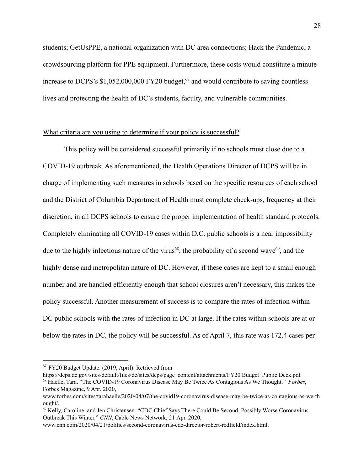students; GetUsPPE, a national organization with DC area connections; Hack the Pandemic, a crowdsourcing platform for PPE equipment. Furthermore, these costs would constitute a minute increase to DCPS's  $$1,052,000,000$  FY20 budget,<sup>67</sup> and would contribute to saving countless lives and protecting the health of DC's students, faculty, and vulnerable communities.

#### What criteria are you using to determine if your policy is successful?

This policy will be considered successful primarily if no schools must close due to a COVID-19 outbreak. As aforementioned, the Health Operations Director of DCPS will be in charge of implementing such measures in schools based on the specific resources of each school and the District of Columbia Department of Health must complete check-ups, frequency at their discretion, in all DCPS schools to ensure the proper implementation of health standard protocols. Completely eliminating all COVID-19 cases within D.C. public schools is a near impossibility due to the highly infectious nature of the virus<sup>68</sup>, the probability of a second wave<sup>69</sup>, and the highly dense and metropolitan nature of DC. However, if these cases are kept to a small enough number and are handled efficiently enough that school closures aren't necessary, this makes the policy successful. Another measurement of success is to compare the rates of infection within DC public schools with the rates of infection in DC at large. If the rates within schools are at or below the rates in DC, the policy will be successful. As of April 7, this rate was 172.4 cases per

<sup>67</sup> FY20 Budget Update. (2019, April). Retrieved from

<sup>68</sup> Haelle, Tara. "The COVID-19 Coronavirus Disease May Be Twice As Contagious As We Thought." *Forbes*, Forbes Magazine, 9 Apr. 2020, https://dcps.dc.gov/sites/default/files/dc/sites/dcps/page\_content/attachments/FY20 Budget\_Public Deck.pdf

www.forbes.com/sites/tarahaelle/2020/04/07/the-covid19-coronavirus-disease-may-be-twice-as-contagious-as-we-th ought/.

<sup>69</sup> Kelly, Caroline, and Jen Christensen. "CDC Chief Says There Could Be Second, Possibly Worse Coronavirus Outbreak This Winter." *CNN*, Cable News Network, 21 Apr. 2020,

www.cnn.com/2020/04/21/politics/second-coronavirus-cdc-director-robert-redfield/index.html.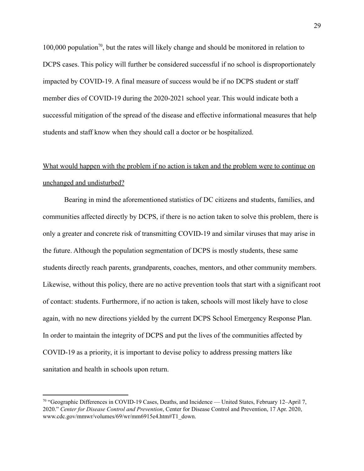100,000 population<sup>70</sup>, but the rates will likely change and should be monitored in relation to DCPS cases. This policy will further be considered successful if no school is disproportionately impacted by COVID-19. A final measure of success would be if no DCPS student or staff member dies of COVID-19 during the 2020-2021 school year. This would indicate both a successful mitigation of the spread of the disease and effective informational measures that help students and staff know when they should call a doctor or be hospitalized.

# What would happen with the problem if no action is taken and the problem were to continue on unchanged and undisturbed?

Bearing in mind the aforementioned statistics of DC citizens and students, families, and communities affected directly by DCPS, if there is no action taken to solve this problem, there is only a greater and concrete risk of transmitting COVID-19 and similar viruses that may arise in the future. Although the population segmentation of DCPS is mostly students, these same students directly reach parents, grandparents, coaches, mentors, and other community members. Likewise, without this policy, there are no active prevention tools that start with a significant root of contact: students. Furthermore, if no action is taken, schools will most likely have to close again, with no new directions yielded by the current DCPS School Emergency Response Plan. In order to maintain the integrity of DCPS and put the lives of the communities affected by COVID-19 as a priority, it is important to devise policy to address pressing matters like sanitation and health in schools upon return.

<sup>70</sup> "Geographic Differences in COVID-19 Cases, Deaths, and Incidence — United States, February 12–April 7, 2020." *Center for Disease Control and Prevention*, Center for Disease Control and Prevention, 17 Apr. 2020, www.cdc.gov/mmwr/volumes/69/wr/mm6915e4.htm#T1\_down.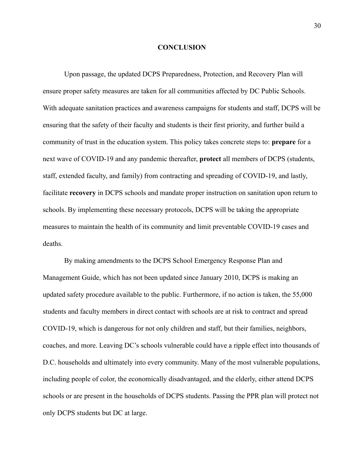#### **CONCLUSION**

Upon passage, the updated DCPS Preparedness, Protection, and Recovery Plan will ensure proper safety measures are taken for all communities affected by DC Public Schools. With adequate sanitation practices and awareness campaigns for students and staff, DCPS will be ensuring that the safety of their faculty and students is their first priority, and further build a community of trust in the education system. This policy takes concrete steps to: **prepare** for a next wave of COVID-19 and any pandemic thereafter, **protect** all members of DCPS (students, staff, extended faculty, and family) from contracting and spreading of COVID-19, and lastly, facilitate **recovery** in DCPS schools and mandate proper instruction on sanitation upon return to schools. By implementing these necessary protocols, DCPS will be taking the appropriate measures to maintain the health of its community and limit preventable COVID-19 cases and deaths.

By making amendments to the DCPS School Emergency Response Plan and Management Guide, which has not been updated since January 2010, DCPS is making an updated safety procedure available to the public. Furthermore, if no action is taken, the 55,000 students and faculty members in direct contact with schools are at risk to contract and spread COVID-19, which is dangerous for not only children and staff, but their families, neighbors, coaches, and more. Leaving DC's schools vulnerable could have a ripple effect into thousands of D.C. households and ultimately into every community. Many of the most vulnerable populations, including people of color, the economically disadvantaged, and the elderly, either attend DCPS schools or are present in the households of DCPS students. Passing the PPR plan will protect not only DCPS students but DC at large.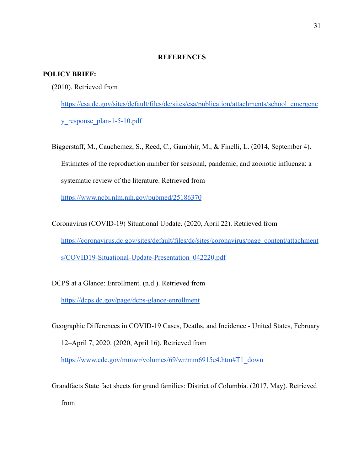#### **REFERENCES**

#### **POLICY BRIEF:**

(2010). Retrieved from

[https://esa.dc.gov/sites/default/files/dc/sites/esa/publication/attachments/school\\_emergenc](https://esa.dc.gov/sites/default/files/dc/sites/esa/publication/attachments/school_emergency_response_plan-1-5-10.pdf) [y\\_response\\_plan-1-5-10.pdf](https://esa.dc.gov/sites/default/files/dc/sites/esa/publication/attachments/school_emergency_response_plan-1-5-10.pdf)

Biggerstaff, M., Cauchemez, S., Reed, C., Gambhir, M., & Finelli, L. (2014, September 4). Estimates of the reproduction number for seasonal, pandemic, and zoonotic influenza: a systematic review of the literature. Retrieved from

<https://www.ncbi.nlm.nih.gov/pubmed/25186370>

Coronavirus (COVID-19) Situational Update. (2020, April 22). Retrieved from [https://coronavirus.dc.gov/sites/default/files/dc/sites/coronavirus/page\\_content/attachment](https://coronavirus.dc.gov/sites/default/files/dc/sites/coronavirus/page_content/attachments/COVID19-Situational-Update-Presentation_042220.pdf) [s/COVID19-Situational-Update-Presentation\\_042220.pdf](https://coronavirus.dc.gov/sites/default/files/dc/sites/coronavirus/page_content/attachments/COVID19-Situational-Update-Presentation_042220.pdf)

DCPS at a Glance: Enrollment. (n.d.). Retrieved from <https://dcps.dc.gov/page/dcps-glance-enrollment>

Geographic Differences in COVID-19 Cases, Deaths, and Incidence - United States, February 12–April 7, 2020. (2020, April 16). Retrieved from [https://www.cdc.gov/mmwr/volumes/69/wr/mm6915e4.htm#T1\\_down](https://www.cdc.gov/mmwr/volumes/69/wr/mm6915e4.htm#T1_down)

Grandfacts State fact sheets for grand families: District of Columbia. (2017, May). Retrieved from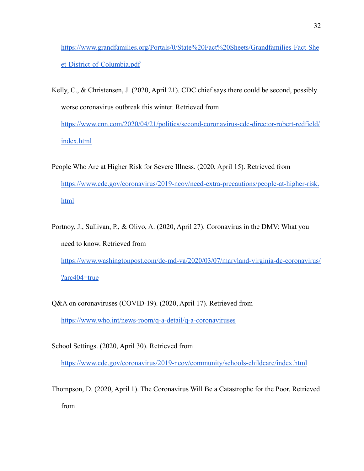[https://www.grandfamilies.org/Portals/0/State%20Fact%20Sheets/Grandfamilies-Fact-She](https://www.grandfamilies.org/Portals/0/State%20Fact%20Sheets/Grandfamilies-Fact-Sheet-District-of-Columbia.pdf) [et-District-of-Columbia.pdf](https://www.grandfamilies.org/Portals/0/State%20Fact%20Sheets/Grandfamilies-Fact-Sheet-District-of-Columbia.pdf)

- Kelly, C., & Christensen, J. (2020, April 21). CDC chief says there could be second, possibly worse coronavirus outbreak this winter. Retrieved from [https://www.cnn.com/2020/04/21/politics/second-coronavirus-cdc-director-robert-redfield/](https://www.cnn.com/2020/04/21/politics/second-coronavirus-cdc-director-robert-redfield/index.html) [index.html](https://www.cnn.com/2020/04/21/politics/second-coronavirus-cdc-director-robert-redfield/index.html)
- People Who Are at Higher Risk for Severe Illness. (2020, April 15). Retrieved from [https://www.cdc.gov/coronavirus/2019-ncov/need-extra-precautions/people-at-higher-risk.](https://www.cdc.gov/coronavirus/2019-ncov/need-extra-precautions/people-at-higher-risk.html) [html](https://www.cdc.gov/coronavirus/2019-ncov/need-extra-precautions/people-at-higher-risk.html)
- Portnoy, J., Sullivan, P., & Olivo, A. (2020, April 27). Coronavirus in the DMV: What you need to know. Retrieved from [https://www.washingtonpost.com/dc-md-va/2020/03/07/maryland-virginia-dc-coronavirus/](https://www.washingtonpost.com/dc-md-va/2020/03/07/maryland-virginia-dc-coronavirus/?arc404=true) [?arc404=true](https://www.washingtonpost.com/dc-md-va/2020/03/07/maryland-virginia-dc-coronavirus/?arc404=true)
- Q&A on coronaviruses (COVID-19). (2020, April 17). Retrieved from <https://www.who.int/news-room/q-a-detail/q-a-coronaviruses>

School Settings. (2020, April 30). Retrieved from

<https://www.cdc.gov/coronavirus/2019-ncov/community/schools-childcare/index.html>

Thompson, D. (2020, April 1). The Coronavirus Will Be a Catastrophe for the Poor. Retrieved from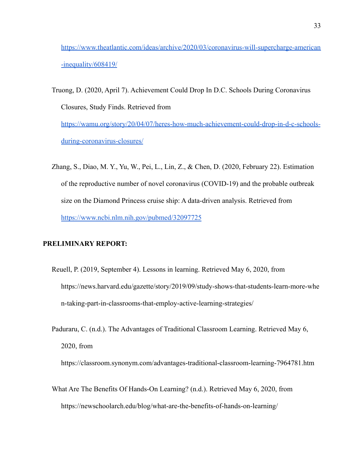[https://www.theatlantic.com/ideas/archive/2020/03/coronavirus-will-supercharge-american](https://www.theatlantic.com/ideas/archive/2020/03/coronavirus-will-supercharge-american-inequality/608419/) [-inequality/608419/](https://www.theatlantic.com/ideas/archive/2020/03/coronavirus-will-supercharge-american-inequality/608419/)

- Truong, D. (2020, April 7). Achievement Could Drop In D.C. Schools During Coronavirus Closures, Study Finds. Retrieved from [https://wamu.org/story/20/04/07/heres-how-much-achievement-could-drop-in-d-c-schools](https://wamu.org/story/20/04/07/heres-how-much-achievement-could-drop-in-d-c-schools-during-coronavirus-closures/)[during-coronavirus-closures/](https://wamu.org/story/20/04/07/heres-how-much-achievement-could-drop-in-d-c-schools-during-coronavirus-closures/)
- Zhang, S., Diao, M. Y., Yu, W., Pei, L., Lin, Z., & Chen, D. (2020, February 22). Estimation of the reproductive number of novel coronavirus (COVID-19) and the probable outbreak size on the Diamond Princess cruise ship: A data-driven analysis. Retrieved from <https://www.ncbi.nlm.nih.gov/pubmed/32097725>

#### **PRELIMINARY REPORT:**

- Reuell, P. (2019, September 4). Lessons in learning. Retrieved May 6, 2020, from [https://news.harvard.edu/gazette/story/2019/09/study-shows-that-students-learn-more-whe](https://news.harvard.edu/gazette/story/2019/09/study-shows-that-students-learn-more-when-taking-part-in-classrooms-that-employ-active-learning-strategies/) [n-taking-part-in-classrooms-that-employ-active-learning-strategies/](https://news.harvard.edu/gazette/story/2019/09/study-shows-that-students-learn-more-when-taking-part-in-classrooms-that-employ-active-learning-strategies/)
- Paduraru, C. (n.d.). The Advantages of Traditional Classroom Learning. Retrieved May 6, 2020, from

[https://classroom.synonym.com/advantages-traditional-classroom-learning-7964781.htm](https://classroom.synonym.com/advantages-traditional-classroom-learning-7964781.html)

What Are The Benefits Of Hands-On Learning? (n.d.). Retrieved May 6, 2020, from <https://newschoolarch.edu/blog/what-are-the-benefits-of-hands-on-learning/>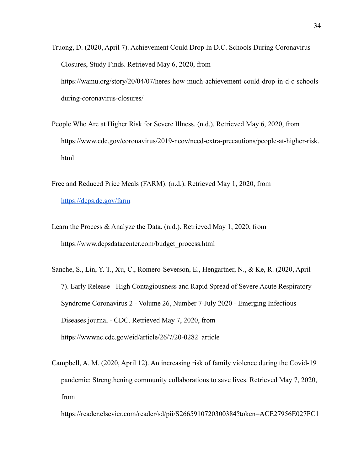- Truong, D. (2020, April 7). Achievement Could Drop In D.C. Schools During Coronavirus Closures, Study Finds. Retrieved May 6, 2020, from [https://wamu.org/story/20/04/07/heres-how-much-achievement-could-drop-in-d-c-schools](https://wamu.org/story/20/04/07/heres-how-much-achievement-could-drop-in-d-c-schools-during-coronavirus-closures/)[during-coronavirus-closures/](https://wamu.org/story/20/04/07/heres-how-much-achievement-could-drop-in-d-c-schools-during-coronavirus-closures/)
- People Who Are at Higher Risk for Severe Illness. (n.d.). Retrieved May 6, 2020, from [https://www.cdc.gov/coronavirus/2019-ncov/need-extra-precautions/people-at-higher-risk.](https://www.cdc.gov/coronavirus/2019-ncov/need-extra-precautions/people-at-higher-risk.html) [html](https://www.cdc.gov/coronavirus/2019-ncov/need-extra-precautions/people-at-higher-risk.html)
- Free and Reduced Price Meals (FARM). (n.d.). Retrieved May 1, 2020, from <https://dcps.dc.gov/farm>
- Learn the Process & Analyze the Data. (n.d.). Retrieved May 1, 2020, from [https://www.dcpsdatacenter.com/budget\\_process.html](https://www.dcpsdatacenter.com/budget_process.html)
- Sanche, S., Lin, Y. T., Xu, C., Romero-Severson, E., Hengartner, N., & Ke, R. (2020, April 7). Early Release - High Contagiousness and Rapid Spread of Severe Acute Respiratory Syndrome Coronavirus 2 - Volume 26, Number 7-July 2020 - Emerging Infectious Diseases journal - CDC. Retrieved May 7, 2020, from [https://wwwnc.cdc.gov/eid/article/26/7/20-0282\\_article](https://wwwnc.cdc.gov/eid/article/26/7/20-0282_article)
- Campbell, A. M. (2020, April 12). An increasing risk of family violence during the Covid-19 pandemic: Strengthening community collaborations to save lives. Retrieved May 7, 2020, from

[https://reader.elsevier.com/reader/sd/pii/S2665910720300384?token=ACE27956E027FC1](https://reader.elsevier.com/reader/sd/pii/S2665910720300384?token=ACE27956E027FC15415292C4A726C98426A3E3D6CDC9609595B79EA0B562F0FE91AD5AEAC5C97B54ACE417D785CF75FE)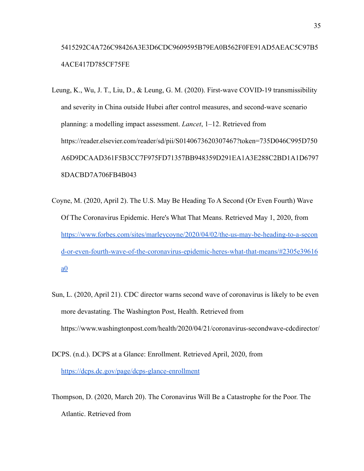# [5415292C4A726C98426A3E3D6CDC9609595B79EA0B562F0FE91AD5AEAC5C97B5](https://reader.elsevier.com/reader/sd/pii/S2665910720300384?token=ACE27956E027FC15415292C4A726C98426A3E3D6CDC9609595B79EA0B562F0FE91AD5AEAC5C97B54ACE417D785CF75FE) [4ACE417D785CF75FE](https://reader.elsevier.com/reader/sd/pii/S2665910720300384?token=ACE27956E027FC15415292C4A726C98426A3E3D6CDC9609595B79EA0B562F0FE91AD5AEAC5C97B54ACE417D785CF75FE)

- Leung, K., Wu, J. T., Liu, D., & Leung, G. M. (2020). First-wave COVID-19 transmissibility and severity in China outside Hubei after control measures, and second-wave scenario planning: a modelling impact assessment. *Lancet*, 1–12. Retrieved from [https://reader.elsevier.com/reader/sd/pii/S0140673620307467?token=735D046C995D750](https://reader.elsevier.com/reader/sd/pii/S0140673620307467?token=735D046C995D750A6D9DCAAD361F5B3CC7F975FD71357BB948359D291EA1A3E288C2BD1A1D67978DACBD7A706FB4B043) [A6D9DCAAD361F5B3CC7F975FD71357BB948359D291EA1A3E288C2BD1A1D6797](https://reader.elsevier.com/reader/sd/pii/S0140673620307467?token=735D046C995D750A6D9DCAAD361F5B3CC7F975FD71357BB948359D291EA1A3E288C2BD1A1D67978DACBD7A706FB4B043) [8DACBD7A706FB4B043](https://reader.elsevier.com/reader/sd/pii/S0140673620307467?token=735D046C995D750A6D9DCAAD361F5B3CC7F975FD71357BB948359D291EA1A3E288C2BD1A1D67978DACBD7A706FB4B043)
- Coyne, M. (2020, April 2). The U.S. May Be Heading To A Second (Or Even Fourth) Wave Of The Coronavirus Epidemic. Here's What That Means. Retrieved May 1, 2020, from [https://www.forbes.com/sites/marleycoyne/2020/04/02/the-us-may-be-heading-to-a-secon](https://www.forbes.com/sites/marleycoyne/2020/04/02/the-us-may-be-heading-to-a-second-or-even-fourth-wave-of-the-coronavirus-epidemic-heres-what-that-means/#2305e39616a0) [d-or-even-fourth-wave-of-the-coronavirus-epidemic-heres-what-that-means/#2305e39616](https://www.forbes.com/sites/marleycoyne/2020/04/02/the-us-may-be-heading-to-a-second-or-even-fourth-wave-of-the-coronavirus-epidemic-heres-what-that-means/#2305e39616a0) [a0](https://www.forbes.com/sites/marleycoyne/2020/04/02/the-us-may-be-heading-to-a-second-or-even-fourth-wave-of-the-coronavirus-epidemic-heres-what-that-means/#2305e39616a0)
- Sun, L. (2020, April 21). CDC director warns second wave of coronavirus is likely to be even more devastating. The Washington Post, Health. Retrieved from https://www.washingtonpost.com/health/2020/04/21/coronavirus-secondwave-cdcdirector/
- DCPS. (n.d.). DCPS at a Glance: Enrollment. Retrieved April, 2020, from <https://dcps.dc.gov/page/dcps-glance-enrollment>
- Thompson, D. (2020, March 20). The Coronavirus Will Be a Catastrophe for the Poor. The Atlantic. Retrieved from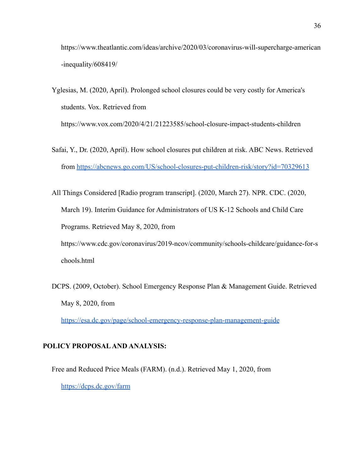https://www.theatlantic.com/ideas/archive/2020/03/coronavirus-will-supercharge-american -inequality/608419/

- Yglesias, M. (2020, April). Prolonged school closures could be very costly for America's students. Vox. Retrieved from https://www.vox.com/2020/4/21/21223585/school-closure-impact-students-children
- Safai, Y., Dr. (2020, April). How school closures put children at risk. ABC News. Retrieved from <https://abcnews.go.com/US/school-closures-put-children-risk/story?id=70329613>
- All Things Considered [Radio program transcript]. (2020, March 27). NPR. CDC. (2020, March 19). Interim Guidance for Administrators of US K-12 Schools and Child Care Programs. Retrieved May 8, 2020, from https://www.cdc.gov/coronavirus/2019-ncov/community/schools-childcare/guidance-for-s chools.html
- DCPS. (2009, October). School Emergency Response Plan & Management Guide. Retrieved May 8, 2020, from

<https://esa.dc.gov/page/school-emergency-response-plan-management-guide>

#### **POLICY PROPOSAL AND ANALYSIS:**

Free and Reduced Price Meals (FARM). (n.d.). Retrieved May 1, 2020, from <https://dcps.dc.gov/farm>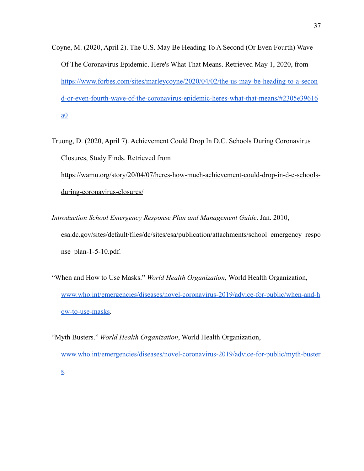- Coyne, M. (2020, April 2). The U.S. May Be Heading To A Second (Or Even Fourth) Wave Of The Coronavirus Epidemic. Here's What That Means. Retrieved May 1, 2020, from [https://www.forbes.com/sites/marleycoyne/2020/04/02/the-us-may-be-heading-to-a-secon](https://www.forbes.com/sites/marleycoyne/2020/04/02/the-us-may-be-heading-to-a-second-or-even-fourth-wave-of-the-coronavirus-epidemic-heres-what-that-means/#2305e39616a0) [d-or-even-fourth-wave-of-the-coronavirus-epidemic-heres-what-that-means/#2305e39616](https://www.forbes.com/sites/marleycoyne/2020/04/02/the-us-may-be-heading-to-a-second-or-even-fourth-wave-of-the-coronavirus-epidemic-heres-what-that-means/#2305e39616a0)  $a<sub>0</sub>$
- Truong, D. (2020, April 7). Achievement Could Drop In D.C. Schools During Coronavirus Closures, Study Finds. Retrieved from

[https://wamu.org/story/20/04/07/heres-how-much-achievement-could-drop-in-d-c-schools](https://wamu.org/story/20/04/07/heres-how-much-achievement-could-drop-in-d-c-schools-during-coronavirus-closures/)[during-coronavirus-closures/](https://wamu.org/story/20/04/07/heres-how-much-achievement-could-drop-in-d-c-schools-during-coronavirus-closures/)

- *Introduction School Emergency Response Plan and Management Guide*. Jan. 2010, esa.dc.gov/sites/default/files/dc/sites/esa/publication/attachments/school\_emergency\_respo nse  $plan-1-5-10.pdf.$
- "When and How to Use Masks." *World Health Organization*, World Health Organization, [www.who.int/emergencies/diseases/novel-coronavirus-2019/advice-for-public/when-and-h](http://www.who.int/emergencies/diseases/novel-coronavirus-2019/advice-for-public/when-and-how-to-use-masks) [ow-to-use-masks.](http://www.who.int/emergencies/diseases/novel-coronavirus-2019/advice-for-public/when-and-how-to-use-masks)
- "Myth Busters." *World Health Organization*, World Health Organization, [www.who.int/emergencies/diseases/novel-coronavirus-2019/advice-for-public/myth-buster](http://www.who.int/emergencies/diseases/novel-coronavirus-2019/advice-for-public/myth-busters) [s](http://www.who.int/emergencies/diseases/novel-coronavirus-2019/advice-for-public/myth-busters).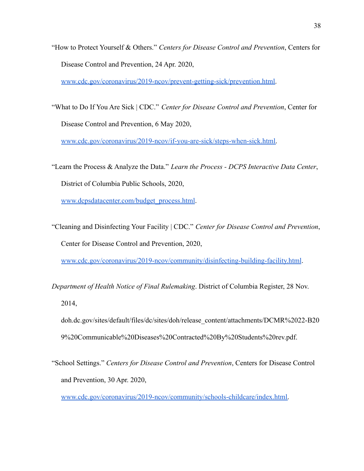"How to Protect Yourself & Others." *Centers for Disease Control and Prevention*, Centers for Disease Control and Prevention, 24 Apr. 2020,

[www.cdc.gov/coronavirus/2019-ncov/prevent-getting-sick/prevention.html.](http://www.cdc.gov/coronavirus/2019-ncov/prevent-getting-sick/prevention.html)

"What to Do If You Are Sick | CDC." *Center for Disease Control and Prevention*, Center for Disease Control and Prevention, 6 May 2020,

[www.cdc.gov/coronavirus/2019-ncov/if-you-are-sick/steps-when-sick.html.](http://www.cdc.gov/coronavirus/2019-ncov/if-you-are-sick/steps-when-sick.html)

"Learn the Process & Analyze the Data." *Learn the Process - DCPS Interactive Data Center*, District of Columbia Public Schools, 2020,

[www.dcpsdatacenter.com/budget\\_process.html](http://www.dcpsdatacenter.com/budget_process.html).

"Cleaning and Disinfecting Your Facility | CDC." *Center for Disease Control and Prevention*, Center for Disease Control and Prevention, 2020,

[www.cdc.gov/coronavirus/2019-ncov/community/disinfecting-building-facility.html](http://www.cdc.gov/coronavirus/2019-ncov/community/disinfecting-building-facility.html).

*Department of Health Notice of Final Rulemaking*. District of Columbia Register, 28 Nov.

2014,

- doh.dc.gov/sites/default/files/dc/sites/doh/release\_content/attachments/DCMR%2022-B20 9%20Communicable%20Diseases%20Contracted%20By%20Students%20rev.pdf.
- "School Settings." *Centers for Disease Control and Prevention*, Centers for Disease Control and Prevention, 30 Apr. 2020,

[www.cdc.gov/coronavirus/2019-ncov/community/schools-childcare/index.html.](http://www.cdc.gov/coronavirus/2019-ncov/community/schools-childcare/index.html)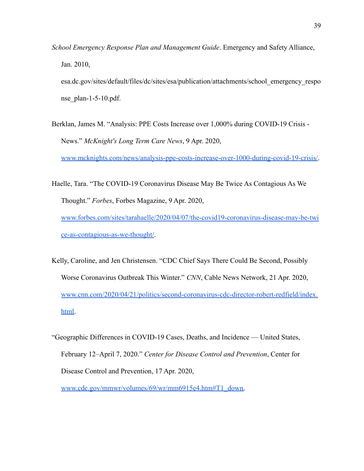*School Emergency Response Plan and Management Guide*. Emergency and Safety Alliance, Jan. 2010,

esa.dc.gov/sites/default/files/dc/sites/esa/publication/attachments/school\_emergency\_respo nse  $plan-1-5-10.pdf.$ 

Berklan, James M. "Analysis: PPE Costs Increase over 1,000% during COVID-19 Crisis - News." *McKnight's Long Term Care News*, 9 Apr. 2020,

[www.mcknights.com/news/analysis-ppe-costs-increase-over-1000-during-covid-19-crisis/.](http://www.mcknights.com/news/analysis-ppe-costs-increase-over-1000-during-covid-19-crisis/)

- Haelle, Tara. "The COVID-19 Coronavirus Disease May Be Twice As Contagious As We Thought." *Forbes*, Forbes Magazine, 9 Apr. 2020, [www.forbes.com/sites/tarahaelle/2020/04/07/the-covid19-coronavirus-disease-may-be-twi](http://www.forbes.com/sites/tarahaelle/2020/04/07/the-covid19-coronavirus-disease-may-be-twice-as-contagious-as-we-thought/) [ce-as-contagious-as-we-thought/](http://www.forbes.com/sites/tarahaelle/2020/04/07/the-covid19-coronavirus-disease-may-be-twice-as-contagious-as-we-thought/).
- Kelly, Caroline, and Jen Christensen. "CDC Chief Says There Could Be Second, Possibly Worse Coronavirus Outbreak This Winter." *CNN*, Cable News Network, 21 Apr. 2020, [www.cnn.com/2020/04/21/politics/second-coronavirus-cdc-director-robert-redfield/index.](http://www.cnn.com/2020/04/21/politics/second-coronavirus-cdc-director-robert-redfield/index.html) [html.](http://www.cnn.com/2020/04/21/politics/second-coronavirus-cdc-director-robert-redfield/index.html)
- "Geographic Differences in COVID-19 Cases, Deaths, and Incidence United States, February 12–April 7, 2020." *Center for Disease Control and Prevention*, Center for Disease Control and Prevention, 17 Apr. 2020,

[www.cdc.gov/mmwr/volumes/69/wr/mm6915e4.htm#T1\\_down.](http://www.cdc.gov/mmwr/volumes/69/wr/mm6915e4.htm#T1_down)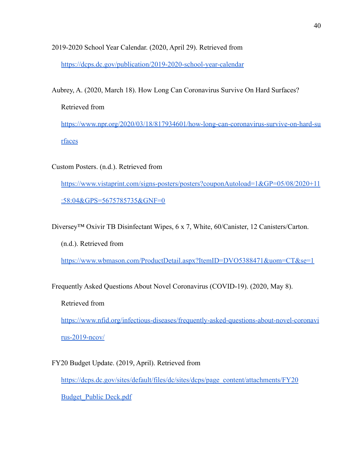2019-2020 School Year Calendar. (2020, April 29). Retrieved from <https://dcps.dc.gov/publication/2019-2020-school-year-calendar>

Aubrey, A. (2020, March 18). How Long Can Coronavirus Survive On Hard Surfaces? Retrieved from [https://www.npr.org/2020/03/18/817934601/how-long-can-coronavirus-survive-on-hard-su](https://www.npr.org/2020/03/18/817934601/how-long-can-coronavirus-survive-on-hard-surfaces) [rfaces](https://www.npr.org/2020/03/18/817934601/how-long-can-coronavirus-survive-on-hard-surfaces)

Custom Posters. (n.d.). Retrieved from [https://www.vistaprint.com/signs-posters/posters?couponAutoload=1&GP=05/08/2020+11](https://www.vistaprint.com/signs-posters/posters?couponAutoload=1&GP=05/08/2020+11:58:04&GPS=5675785735&GNF=0) [:58:04&GPS=5675785735&GNF=0](https://www.vistaprint.com/signs-posters/posters?couponAutoload=1&GP=05/08/2020+11:58:04&GPS=5675785735&GNF=0)

Diversey™ Oxivir TB Disinfectant Wipes, 6 x 7, White, 60/Canister, 12 Canisters/Carton.

(n.d.). Retrieved from

<https://www.wbmason.com/ProductDetail.aspx?ItemID=DVO5388471&uom=CT&se=1>

Frequently Asked Questions About Novel Coronavirus (COVID-19). (2020, May 8).

Retrieved from

[https://www.nfid.org/infectious-diseases/frequently-asked-questions-about-novel-coronavi](https://www.nfid.org/infectious-diseases/frequently-asked-questions-about-novel-coronavirus-2019-ncov/) [rus-2019-ncov/](https://www.nfid.org/infectious-diseases/frequently-asked-questions-about-novel-coronavirus-2019-ncov/)

FY20 Budget Update. (2019, April). Retrieved from [https://dcps.dc.gov/sites/default/files/dc/sites/dcps/page\\_content/attachments/FY20](https://dcps.dc.gov/sites/default/files/dc/sites/dcps/page_content/attachments/FY20) [Budget\\_Public Deck.pdf](https://dcps.dc.gov/sites/default/files/dc/sites/dcps/page_content/attachments/FY20)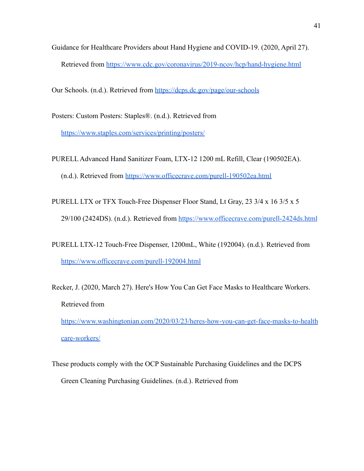Guidance for Healthcare Providers about Hand Hygiene and COVID-19. (2020, April 27). Retrieved from <https://www.cdc.gov/coronavirus/2019-ncov/hcp/hand-hygiene.html>

Our Schools. (n.d.). Retrieved from <https://dcps.dc.gov/page/our-schools>

Posters: Custom Posters: Staples®. (n.d.). Retrieved from <https://www.staples.com/services/printing/posters/>

- PURELL Advanced Hand Sanitizer Foam, LTX-12 1200 mL Refill, Clear (190502EA). (n.d.). Retrieved from <https://www.officecrave.com/purell-190502ea.html>
- PURELL LTX or TFX Touch-Free Dispenser Floor Stand, Lt Gray, 23 3/4 x 16 3/5 x 5 29/100 (2424DS). (n.d.). Retrieved from <https://www.officecrave.com/purell-2424ds.html>
- PURELL LTX-12 Touch-Free Dispenser, 1200mL, White (192004). (n.d.). Retrieved from <https://www.officecrave.com/purell-192004.html>
- Recker, J. (2020, March 27). Here's How You Can Get Face Masks to Healthcare Workers. Retrieved from

[https://www.washingtonian.com/2020/03/23/heres-how-you-can-get-face-masks-to-health](https://www.washingtonian.com/2020/03/23/heres-how-you-can-get-face-masks-to-healthcare-workers/) [care-workers/](https://www.washingtonian.com/2020/03/23/heres-how-you-can-get-face-masks-to-healthcare-workers/)

These products comply with the OCP Sustainable Purchasing Guidelines and the DCPS Green Cleaning Purchasing Guidelines. (n.d.). Retrieved from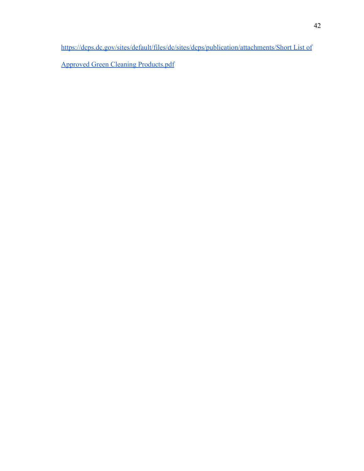[https://dcps.dc.gov/sites/default/files/dc/sites/dcps/publication/attachments/Short List of](https://dcps.dc.gov/sites/default/files/dc/sites/dcps/publication/attachments/Short)

[Approved Green Cleaning Products.pdf](https://dcps.dc.gov/sites/default/files/dc/sites/dcps/publication/attachments/Short)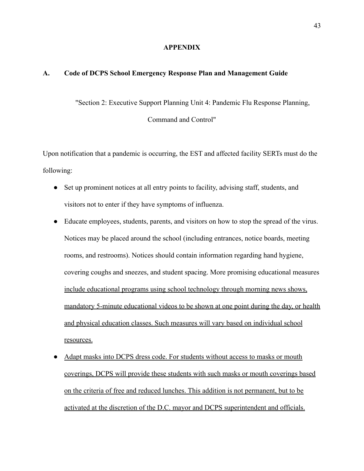#### **APPENDIX**

#### **A. Code of DCPS School Emergency Response Plan and Management Guide**

"Section 2: Executive Support Planning Unit 4: Pandemic Flu Response Planning,

Command and Control"

Upon notification that a pandemic is occurring, the EST and affected facility SERTs must do the following:

- Set up prominent notices at all entry points to facility, advising staff, students, and visitors not to enter if they have symptoms of influenza.
- Educate employees, students, parents, and visitors on how to stop the spread of the virus. Notices may be placed around the school (including entrances, notice boards, meeting rooms, and restrooms). Notices should contain information regarding hand hygiene, covering coughs and sneezes, and student spacing. More promising educational measures include educational programs using school technology through morning news shows, mandatory 5-minute educational videos to be shown at one point during the day, or health and physical education classes. Such measures will vary based on individual school resources.
- Adapt masks into DCPS dress code. For students without access to masks or mouth coverings, DCPS will provide these students with such masks or mouth coverings based on the criteria of free and reduced lunches. This addition is not permanent, but to be activated at the discretion of the D.C. mayor and DCPS superintendent and officials.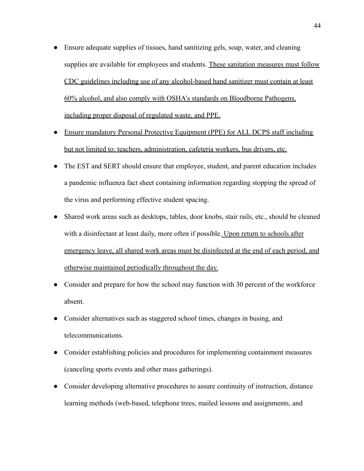- Ensure adequate supplies of tissues, hand sanitizing gels, soap, water, and cleaning supplies are available for employees and students. These sanitation measures must follow CDC guidelines including use of any alcohol-based hand sanitizer must contain at least 60% alcohol, and also comply with OSHA's standards on Bloodborne Pathogens, including proper disposal of regulated waste, and PPE.
- Ensure mandatory Personal Protective Equipment (PPE) for ALL DCPS staff including but not limited to: teachers, administration, cafeteria workers, bus drivers, etc.
- The EST and SERT should ensure that employee, student, and parent education includes a pandemic influenza fact sheet containing information regarding stopping the spread of the virus and performing effective student spacing.
- Shared work areas such as desktops, tables, door knobs, stair rails, etc., should be cleaned with a disinfectant at least daily, more often if possible. Upon return to schools after emergency leave, all shared work areas must be disinfected at the end of each period, and otherwise maintained periodically throughout the day.
- Consider and prepare for how the school may function with 30 percent of the workforce absent.
- Consider alternatives such as staggered school times, changes in busing, and telecommunications.
- Consider establishing policies and procedures for implementing containment measures (canceling sports events and other mass gatherings).
- Consider developing alternative procedures to assure continuity of instruction, distance learning methods (web-based, telephone trees, mailed lessons and assignments, and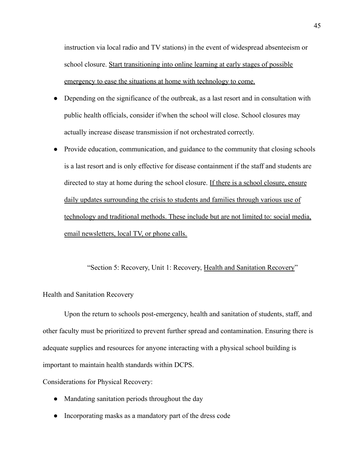instruction via local radio and TV stations) in the event of widespread absenteeism or school closure. Start transitioning into online learning at early stages of possible emergency to ease the situations at home with technology to come.

- Depending on the significance of the outbreak, as a last resort and in consultation with public health officials, consider if/when the school will close. School closures may actually increase disease transmission if not orchestrated correctly.
- Provide education, communication, and guidance to the community that closing schools is a last resort and is only effective for disease containment if the staff and students are directed to stay at home during the school closure. If there is a school closure, ensure daily updates surrounding the crisis to students and families through various use of technology and traditional methods. These include but are not limited to: social media, email newsletters, local TV, or phone calls.

"Section 5: Recovery, Unit 1: Recovery, Health and Sanitation Recovery"

Health and Sanitation Recovery

Upon the return to schools post-emergency, health and sanitation of students, staff, and other faculty must be prioritized to prevent further spread and contamination. Ensuring there is adequate supplies and resources for anyone interacting with a physical school building is important to maintain health standards within DCPS.

Considerations for Physical Recovery:

- Mandating sanitation periods throughout the day
- Incorporating masks as a mandatory part of the dress code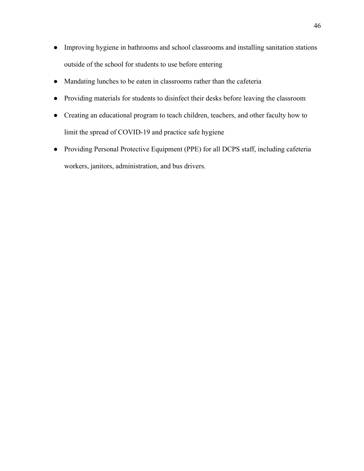- Improving hygiene in bathrooms and school classrooms and installing sanitation stations outside of the school for students to use before entering
- Mandating lunches to be eaten in classrooms rather than the cafeteria
- Providing materials for students to disinfect their desks before leaving the classroom
- Creating an educational program to teach children, teachers, and other faculty how to limit the spread of COVID-19 and practice safe hygiene
- Providing Personal Protective Equipment (PPE) for all DCPS staff, including cafeteria workers, janitors, administration, and bus drivers.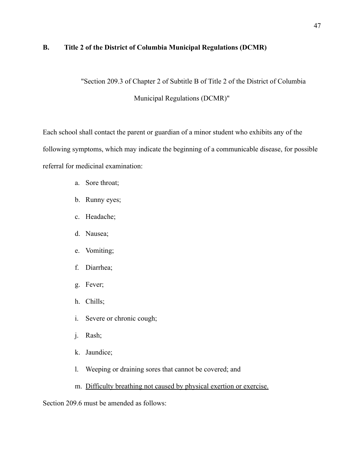#### **B. Title 2 of the District of Columbia Municipal Regulations (DCMR)**

"Section 209.3 of Chapter 2 of Subtitle B of Title 2 of the District of Columbia

Municipal Regulations (DCMR)"

Each school shall contact the parent or guardian of a minor student who exhibits any of the following symptoms, which may indicate the beginning of a communicable disease, for possible referral for medicinal examination:

- a. Sore throat;
- b. Runny eyes;
- c. Headache;
- d. Nausea;
- e. Vomiting;
- f. Diarrhea;
- g. Fever;
- h. Chills;
- i. Severe or chronic cough;
- j. Rash;
- k. Jaundice;
- l. Weeping or draining sores that cannot be covered; and
- m. Difficulty breathing not caused by physical exertion or exercise.

Section 209.6 must be amended as follows: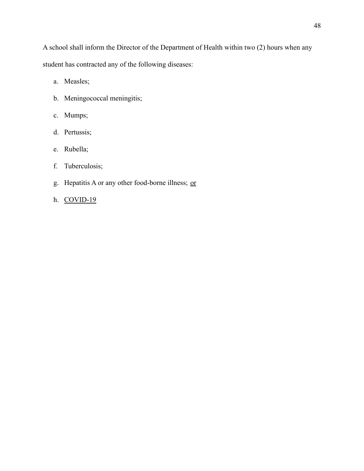A school shall inform the Director of the Department of Health within two (2) hours when any student has contracted any of the following diseases:

- a. Measles;
- b. Meningococcal meningitis;
- c. Mumps;
- d. Pertussis;
- e. Rubella;
- f. Tuberculosis;
- g. Hepatitis A or any other food-borne illness; or
- h. COVID-19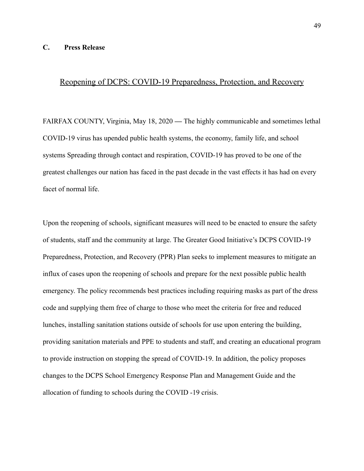#### **C. Press Release**

### Reopening of DCPS: COVID-19 Preparedness, Protection, and Recovery

FAIRFAX COUNTY, Virginia, May 18, 2020 **—** The highly communicable and sometimes lethal COVID-19 virus has upended public health systems, the economy, family life, and school systems Spreading through contact and respiration, COVID-19 has proved to be one of the greatest challenges our nation has faced in the past decade in the vast effects it has had on every facet of normal life.

Upon the reopening of schools, significant measures will need to be enacted to ensure the safety of students, staff and the community at large. The Greater Good Initiative's DCPS COVID-19 Preparedness, Protection, and Recovery (PPR) Plan seeks to implement measures to mitigate an influx of cases upon the reopening of schools and prepare for the next possible public health emergency. The policy recommends best practices including requiring masks as part of the dress code and supplying them free of charge to those who meet the criteria for free and reduced lunches, installing sanitation stations outside of schools for use upon entering the building, providing sanitation materials and PPE to students and staff, and creating an educational program to provide instruction on stopping the spread of COVID-19. In addition, the policy proposes changes to the DCPS School Emergency Response Plan and Management Guide and the allocation of funding to schools during the COVID -19 crisis.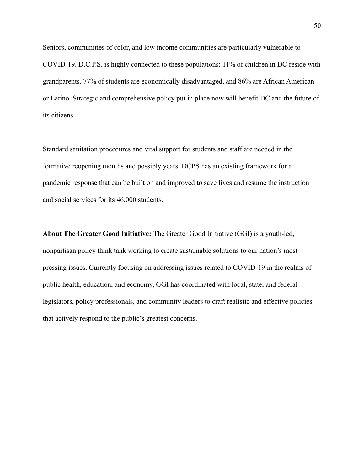Seniors, communities of color, and low income communities are particularly vulnerable to COVID-19. D.C.P.S. is highly connected to these populations: 11% of children in DC reside with grandparents, 77% of students are economically disadvantaged, and 86% are African American or Latino. Strategic and comprehensive policy put in place now will benefit DC and the future of its citizens.

Standard sanitation procedures and vital support for students and staff are needed in the formative reopening months and possibly years. DCPS has an existing framework for a pandemic response that can be built on and improved to save lives and resume the instruction and social services for its 46,000 students.

**About The Greater Good Initiative:** The Greater Good Initiative (GGI) is a youth-led, nonpartisan policy think tank working to create sustainable solutions to our nation's most pressing issues. Currently focusing on addressing issues related to COVID-19 in the realms of public health, education, and economy, GGI has coordinated with local, state, and federal legislators, policy professionals, and community leaders to craft realistic and effective policies that actively respond to the public's greatest concerns.